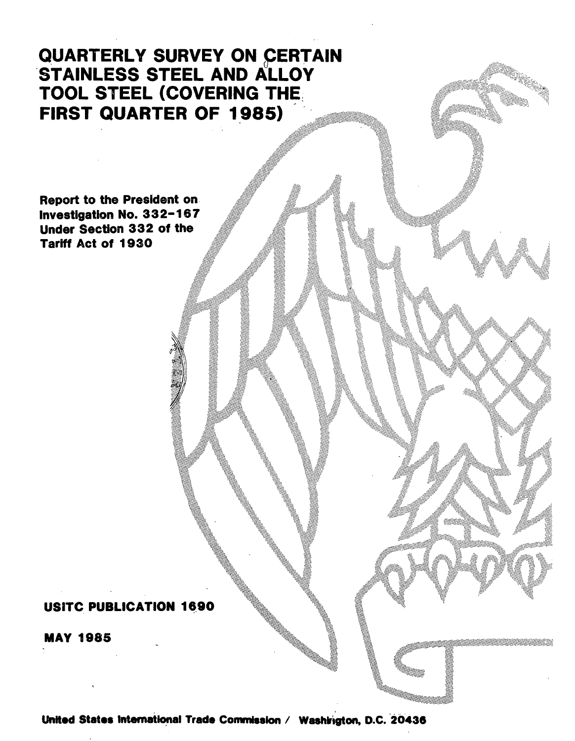# QUARTERLY SURVEY ON CERTAIN STAINLESS STEEL AND ALLOY TOOL STEEL (COVERING THE: FIRST QUARTER OF 1985)

Report to the President on. Investigation No. 332-167 Under Section 332 of the Tariff Act of 1930

## USITC PUBLICATION 1690

MAY 1985

United States International Trade Commission / Washirigton, D.C. 20436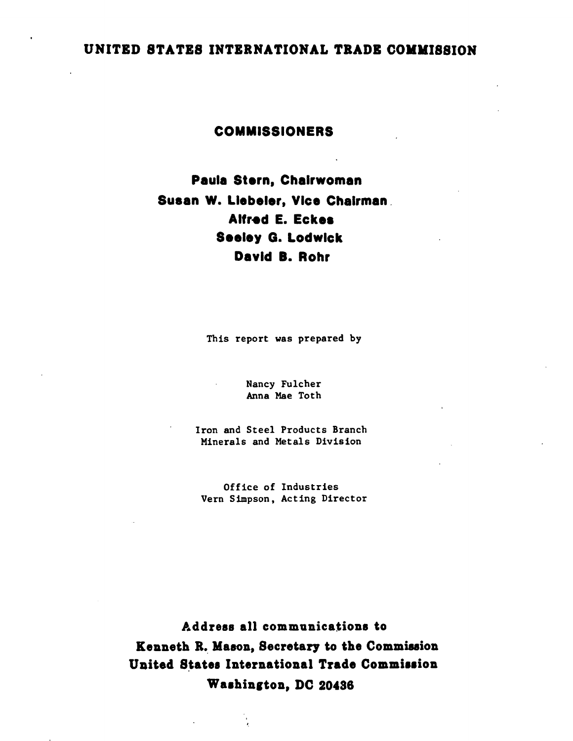## UNITED STATES INTERNATIONAL TRADE COMMISSION

### COMMISSIONERS

## Paula Stern, Chairwoman Susan W. Liebeler, Vice Chairman. Alfred E. Eckes Seeley G. Lodwick David 8. Rohr

This report was prepared by

Nancy Fulcher Anna Mae Toth

Iron and Steel Products Branch Minerals and Metals Division

Office of Industries Vern Simpson, Acting Director

Address all communications to Kenneth R. Mason, Secretary to the Commission United States International Trade Commission Washington, DC 20436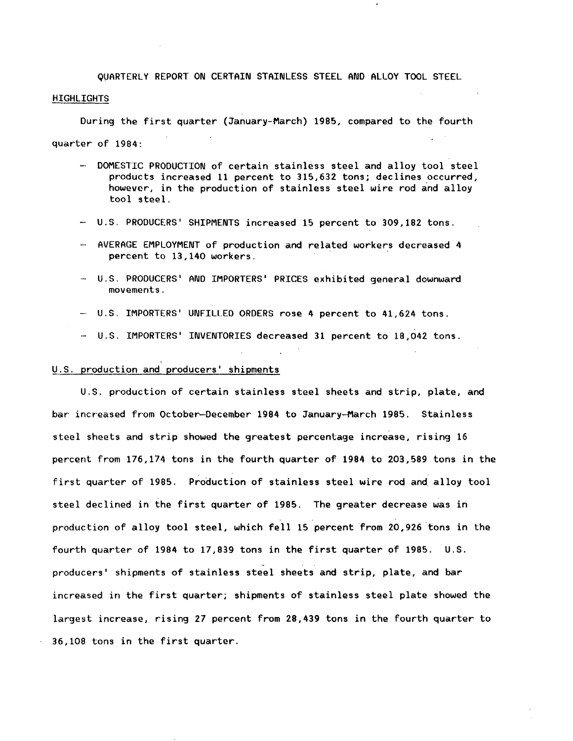QUARTERLY REPORT ON CERTAIN STAINLESS STEEL AND ALLOY TOOL STEEL..

#### **HIGHLIGHTS**

During the first quarter (January-March) 1985, compared to the fourth quarter of 1984:

- DOMESTIC PRODUCTION of certain stainless steel and alloy tool steel products increased 11 percent to 315,632 tons; declines occurred, however, in the production of stainless steel wire rod and alloy tool steel.
- U.S. PRODUCERS' SHIPMENTS increased 15 percent to 309,182 tons.
- AVERAGE EMPLOYMENT of production and related workers decreased 4 percent to 13,140 workers.
- U.S. PRODUCERS' AND IMPORTERS' PRICES exhibited general downward movements.
- U.S. IMPORTERS' UNFILLED ORDERS rose 4 percent to 41,624 tons.
- U.S. IMPORTERS' INVENTORIES decreased 31 percent to 18,042 tons.

#### U.S. production and producers' shipments

U.S. production of certain stainless steel sheets and strip, plate, and bar increased from October-December 1984 to January-March 1985. Stainless steel sheets and strip showed the greatest percentage increase, rising 16 percent from 176,174 tons in the fourth quarter of 1984 to 203,589 tons in the first quarter of 1985. Production of stainless steel wire rod and. alloy tool steel declined in the first quarter of 1985. The greater decrease was in production of alloy tool steel, which fell 15 percent from 20,926 tons in the fourth quarter of 1984 to 17,839 tons in the first quarter of 1985. U.S . producers' shipments of stainless steel sheets and strip, plate, and bar increased in the first quarter; shipments of stainless steel plate showed the largest increase, rising 27 percent from 28,439 tons in the fourth quarter to 36,108 tons in the first quarter.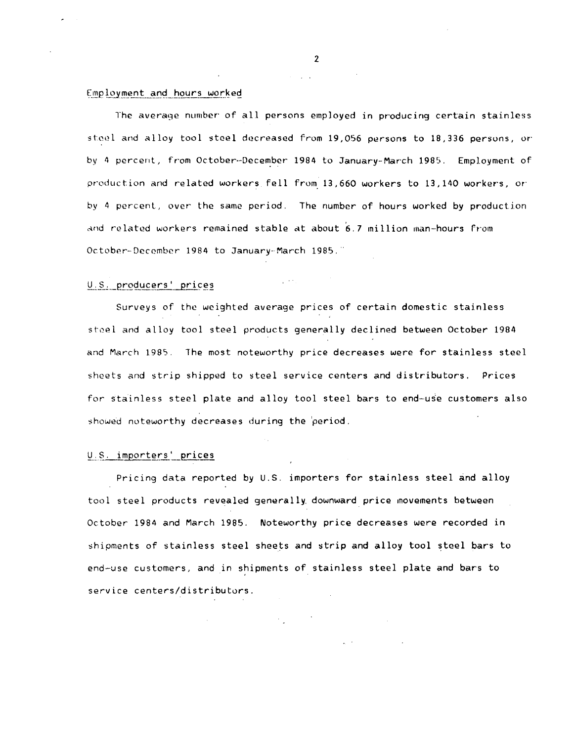#### Employment and hours worked

The average number of all persons employed in producing certain stainless steel and alloy tool steel decreased from 19,056 persons to 18,336 persons, or by 4 percent, from October--December 1984 to January-March 1985. Employment of product.ion and related workers fell from 13,660 workers to 13,140 workers, or· by 4 percent, over the same period. The number of hours worked by production and related workers remained stable at about  $6.7$  million man-hours from October-December 1984 to January-March 1985."

#### U.S. producers' prices

Surveys of the weighted average prices of certain domestic stainless steel and alloy tool steel products generally declined between October 1984 and March 1985. The most noteworthy price decreases were for stainless steel sheets and strip shipped to steel service centers and distributors. Prices for stainless steel plate and alloy tool steel bars to end-use customers also showed noteworthy decreases during the period.

 $\mathcal{L}^{\mathcal{A}}$  ,  $\mathcal{L}^{\mathcal{A}}$  ,  $\mathcal{L}^{\mathcal{A}}$ 

#### U.S. importers' prices

Pricing data reported by  $U.S.$  importers for stainless steel and alloy tool steel products revealed generally. downward price movements between October 1984 and March 1985. Noteworthy price decreases were recorded in shipments of stainless steel sheets and strip and alloy tool steel bars to end-use customers, and in shipments of stainless steel plate and bars to service centers/distributors.

 $\mathcal{F}_{\mathbf{q}}$  ,  $\mathcal{F}_{\mathbf{q}}$  ,  $\mathcal{F}_{\mathbf{q}}$ 

 $\mathcal{L}^{(1)}$  and

2

 $\mathcal{L}^{\text{max}}$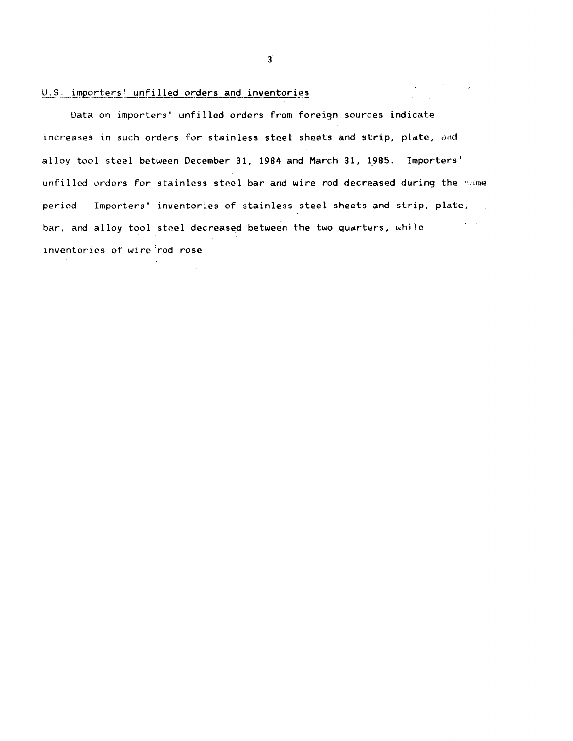#### U.S. importers! unfilled orders and inventories

Data on importers' unfilled orders from foreign sources indicate increases in such orders for stainless steel sheets and strip, plate, and alloy tool steel between December 31, 1984 and March 31, 1985. Importers' unfilled orders for stainless steel bar and wire rod decreased during the same period. Importers' inventories of stainless steel sheets and strip, plate,  $\mathcal{L}_{\text{max}}(\mathcal{F})$  ,  $\mathcal{H}_{\text{max}}$ bar, and alloy tool steel decreased between the two quarters, while  $\mathcal{A}^{\mathcal{A}}$ inventories of wire rod rose.

3

 $\mathcal{L}^{\mathcal{L}}$  . Since  $\mathcal{L}^{\mathcal{L}}$  , where  $\mathcal{L}^{\mathcal{L}}$  is a subset of  $\mathcal{L}^{\mathcal{L}}$ 

 $\Delta \sim 10^{11}$  m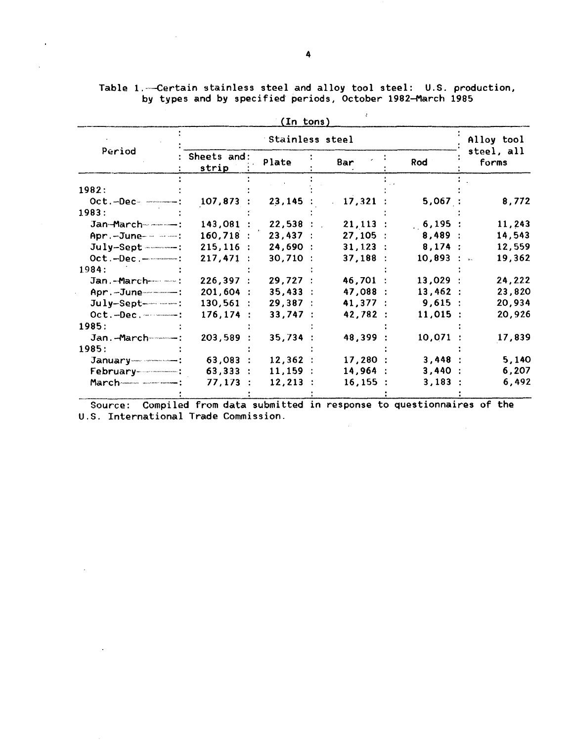|                            |                      | (In tons)   |             |            |                     |  |  |
|----------------------------|----------------------|-------------|-------------|------------|---------------------|--|--|
|                            | Stainless steel      |             |             |            |                     |  |  |
| Period                     | Sheets and:<br>strip | Plate       | Bar         | Rod        | steel, all<br>forms |  |  |
| 1982:                      |                      |             |             |            |                     |  |  |
| $Oct.-Dec--$ :             | 107,873              | 23,145:     | 17,321      | 5,067:     | 8,772               |  |  |
| 1983:                      |                      |             |             |            |                     |  |  |
| Jan-March-------------     | 143,081:             | 22,538:     | $21,113$ :  | 6,195:     | 11,243              |  |  |
| Apr. - June- - - - - - - : | $160,718$ :          | 23,437:     | 27,105:     | 8,489:     | 14,543              |  |  |
| $July-Sept$ -------        | $215, 116$ :         | 24,690:     | $31, 123$ : | 8,174:     | 12,559              |  |  |
| $Oct.-Dec.$ — $$           | 217,471              | 30,710:     | 37,188:     | 10,893 :   | 19,362              |  |  |
| 1984:                      |                      |             |             |            |                     |  |  |
|                            | 226,397:             | 29,727:     | 46,701 :    | 13,029:    | 24,222              |  |  |
|                            | 201,604 :            | 35,433:     | 47,088 :    | 13,462:    | 23,820              |  |  |
| $July-Sept-$ -----         | $130,561$ :          | 29,387:     | 41,377:     | 9,615:     | 20,934              |  |  |
| $Oct.-Dec.$                | 176, 174:            | 33,747:     | 42,782:     | $11,015$ : | 20,926              |  |  |
| 1985:                      |                      |             |             |            |                     |  |  |
| Jan.-March-----------      | 203,589:             | 35,734:     | 48,399 :    | 10,071     | 17,839              |  |  |
| 1985:                      |                      |             |             |            |                     |  |  |
|                            | 63,083:              | 12,362:     | 17,280:     | 3,448:     | 5,140               |  |  |
|                            | 63,333:              | 11,159:     | 14,964:     | 3,440      | 6,207               |  |  |
|                            | 77,173:              | $12, 213$ : | 16, 155:    | 3,183      | 6,492               |  |  |
|                            |                      |             |             |            |                     |  |  |

Table 1.--Certain stainless steel and alloy tool steel: U.S. production, by types and by specified periods, October 1982-March 1985

 $\mathbb{R}^2$ 

Source: Compiled from data submitted in response to questionnaires of the U.S. International Trade Commission.

 $\sim 10^6$ 

 $\sim 10^{-1}$ 

 $\mathcal{L}^{\text{max}}_{\text{max}}$  and  $\mathcal{L}^{\text{max}}_{\text{max}}$ 

 $\mathbf{A}^{(1)}$  and  $\mathbf{A}^{(2)}$ 

 $\sim 10^{-10}$ 

 $\mathcal{L}^{\mathcal{L}}(\mathcal{A})$  .

 $\ddot{\phantom{a}}$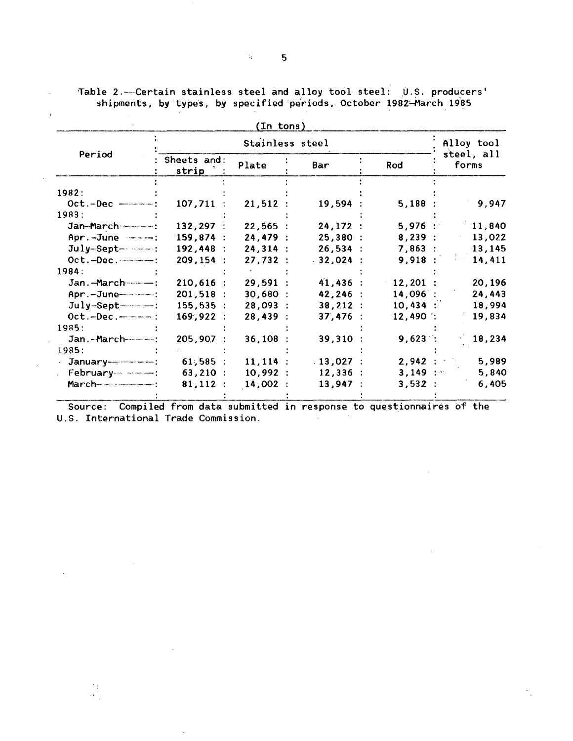|                                          |                      | (In tons)  |             |            |                     |
|------------------------------------------|----------------------|------------|-------------|------------|---------------------|
|                                          |                      | Alloy tool |             |            |                     |
| Period                                   | Sheets and:<br>strip | Plate      | Bar         | Rod        | steel, all<br>forms |
| 1982:                                    |                      |            |             |            |                     |
| $Oct.-Dec$ --------                      | $107,711$ :          | 21,512:    | 19,594:     | 5,188:     | 9,947               |
| 1983:                                    |                      |            |             |            |                     |
| Jan-March                                | 132,297:             | 22,565:    | 24,172:     | $5,976$ :  | 11,840              |
| Apr. -June -------                       | 159,874:             | 24,479:    | 25,380:     | 8,239:     | 13,022              |
| $July-Sept-$ - $$ :                      | 192,448:             | 24,314:    | 26,534:     | 7,863:     | 13,145              |
| $Oct.-Dec.$                              | 209, 154:            | 27,732:    | .32,024:    | 9,918:     | 14,411              |
| 1984:                                    |                      |            |             |            |                     |
| Jan. - March                             | $210,616$ :          | 29,591:    | 41,436:     | $12,201$ : | 20,196              |
| Apr.-June---------                       | 201,518:             | 30,680:    | $42, 246$ : | 14,096     | 24,443              |
|                                          | 155,535:             | 28,093:    | 38, 212 :   | 10,434:    | 18,994              |
|                                          | 169,922:             | 28,439:    | 37,476:     | $12,490$ : | 19,834              |
| 1985:                                    |                      |            |             |            |                     |
| Jan.-March-----------                    | 205,907 :            | 36,108     | 39,310:     | $9,623$ :  | 18,234              |
| 1985:                                    |                      |            |             |            |                     |
|                                          | $61,585$ :           | $11,114$ : | $13,027$ :  | 2,942:     | 5,989               |
|                                          | 63,210:              | 10,992:    | 12,336:     | 3,149:     | 5,840               |
| <u> March---------------------------</u> | 81,112:              | 14,002:    | $13,947$ :  | 3,532:     | 6,405               |
|                                          |                      |            |             |            |                     |

Table 2.----Certain stainless steel and alloy tool steel: U.S. producers' shipments, by types, by specified periods, October 1982-March 1985

 $\hat{\mathcal{A}}$ 

 $\bar{z}$ 

 $\hat{\boldsymbol{\epsilon}}$ 

 $\alpha$ 

Source: Compiled from data submitted in response to questionnaires of the<br>Source: Compiled from data submitted in response to questionnaires of the U.S. International Trade Commission.  $\sim 10^{-10}$ 

 $\sim$ 

 $\bar{z}$ 

 $\mathcal{F}_{\mathcal{X}}$  $\alpha_{\rm eff}^{(0)}$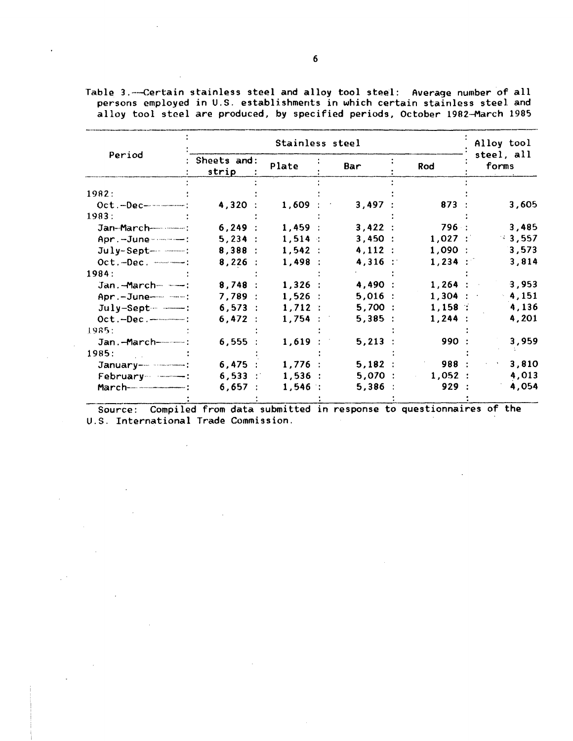|                         |                      |           | Alloy tool |           |                     |
|-------------------------|----------------------|-----------|------------|-----------|---------------------|
| Period                  | Sheets and:<br>strip | Plate     | Bar        | Rod       | steel, all<br>forms |
| 1982:                   |                      |           |            |           |                     |
| $Oct.-Dec--$            | 4,320:               | 1,609     | 3,497:     | 873 :     | 3,605               |
| 1983:                   |                      |           |            |           |                     |
| Jan-March-------------  | 6,249:               | 1,459:    | 3,422:     | 796 :     | 3,485               |
| Apr.-June------         | 5,234:               | $1,514$ : | 3,450:     | $1,027$ : | $-3,557$            |
|                         | 8,388:               | 1,542:    | 4,112:     | $1,090$ : | 3,573               |
| $Oct.-Dec.$ $---:$      | 8,226:               | 1,498:    | $4,316$ :  | $1,234$ : | 3,814               |
| 1984:                   |                      |           |            |           |                     |
| Jan.-March-----------   | 8,748:               | $1,326$ : | 4,490 :    | $1,264$ : | 3,953               |
| Apr.-June---------      | 7,789:               | $1,526$ : | $5,016$ :  | $1,304$ : | $-4,151$            |
| $July-Sept ---$ :       | 6,573:               | 1,712:    | 5,700:     | 1,158     | 4,136               |
|                         | 6,472:               | 1,754:    | 5,385:     | $1,244$ : | 4,201               |
| 1985:                   |                      |           |            |           |                     |
| Jan.-March------------: | 6,555:               | 1,619     | 5,213      | 990:      | 3,959               |
| 1985:                   |                      |           |            |           |                     |
|                         | 6,475:               | $1,776$ : | 5,182:     | 988 :     | 3,810               |
| February --------       | $6,533$ :            | $1,536$ : | 5,070:     | 1,052:    | 4,013               |
|                         | 6,657:               | $1,546$ : | 5,386      | 929:      | 4,054               |
|                         |                      |           |            |           |                     |

Table 3. ---Certain stainless steel and alloy tool steel: Average number of all persons employed in U.S. establishments in which certain stainless steel and alloy tool steel are produced, by specified periods, October 1982-March 1985

Source: Compiled from data submitted in response to questionnaires of the U.S. International Trade Commission.

 $\lambda$ 

 $\sim 10$ 

 $\sim 10^7$ 

 $\mathcal{A}$ 

 $\mathbb{R}^2$ 

 $\hat{L}^{(0)}$ 

 $\ddot{\phantom{a}}$ 

 $\sim 10$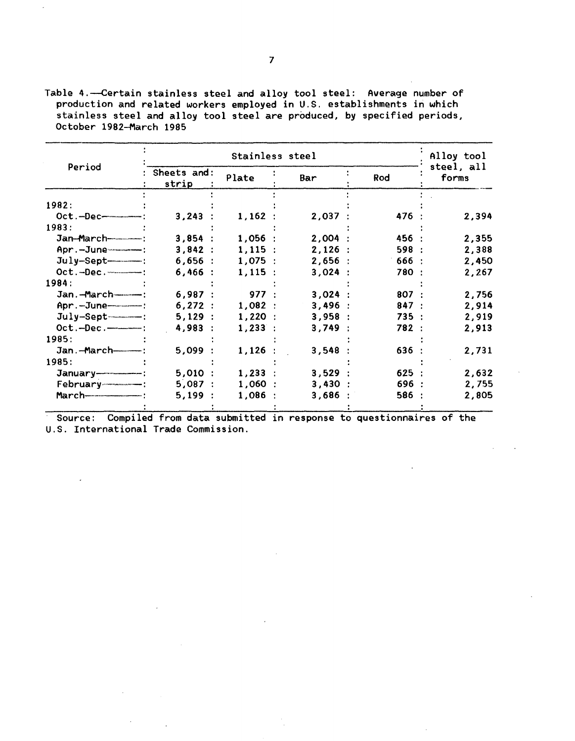Table 4.-Certain stainless steel and alloy tool steel: Average number of production and related workers employed in U.S. establishments in which stainless steel and alloy tool steel are produced, by specified periods, October 1982-March 1985

|                       |                      | Alloy tool |        |       |                     |
|-----------------------|----------------------|------------|--------|-------|---------------------|
| Period                | Sheets and:<br>strip | Plate      | Bar    | Rod   | steel, all<br>forms |
| 1982:                 |                      |            |        |       |                     |
| $Oct.-Dec$            | 3,243:               | 1,162:     | 2,037: | 476 : | 2,394               |
| 1983:                 |                      |            |        |       |                     |
|                       | 3,854:               | 1,056:     | 2,004: | 456 : | 2,355               |
|                       | 3,842:               | 1,115:     | 2,126: | 598:  | 2,388               |
| July-Sept-------      | 6,656:               | 1,075:     | 2,656: | 666:  | 2,450               |
|                       | 6,466:               | 1,115:     | 3,024: | 780 : | 2,267               |
| 1984:                 |                      |            |        |       |                     |
| Jan.-March----------- | 6,987:               | 977:       | 3,024: | 807:  | 2,756               |
|                       | 6,272:               | 1,082:     | 3,496: | 847:  | 2,914               |
|                       | 5,129:               | 1,220:     | 3,958: | 735:  | 2,919               |
| Oct.-Dec.-------      | 4,983:               | 1,233:     | 3,749: | 782 : | 2,913               |
| 1985:                 |                      |            |        |       |                     |
| Jan.-March----------  | 5,099:               | $1,126$ :  | 3,548  | 636:  | 2,731               |
| 1985:                 |                      |            |        |       |                     |
|                       | 5,010:               | $1,233$ :  | 3,529: | 625:  | 2,632               |
|                       | 5,087:               | 1,060:     | 3,430: | 696 : | 2,755               |
|                       | 5,199:               | 1,086:     | 3,686  | 586 : | 2,805               |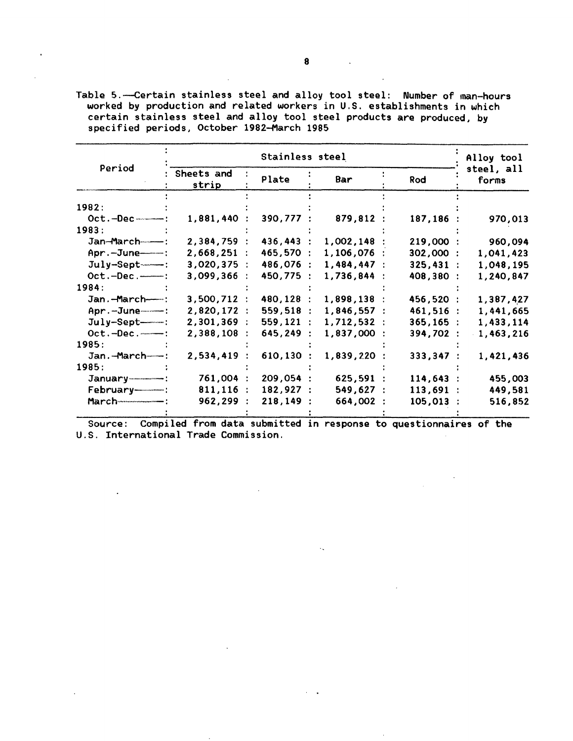|                       |                                        | Alloy tool |             |              |                     |  |
|-----------------------|----------------------------------------|------------|-------------|--------------|---------------------|--|
|                       | Period<br>Sheets and<br>Plate<br>strip |            | Bar         | Rod          | steel, all<br>forms |  |
| 1982:                 |                                        |            |             |              |                     |  |
| $Oct.-Dec$ $---$ :    | $1,881,440$ :                          | 390,777    | 879,812 :   | 187,186 :    | 970,013             |  |
| 1983:                 |                                        |            |             |              |                     |  |
| Jan-March-----        | 2,384,759 :                            | 436,443    | 1,002,148   | 219,000:     | 960,094             |  |
| $Apr. -June - - :$    | 2,668,251:                             | 465,570    | 1,106,076   | 302,000 :    | 1,041,423           |  |
| $July-Sept$ --------- | $3,020,375$ :                          | 486,076    | 1,484,447:  | 325,431:     | 1,048,195           |  |
| $Oct.-Dec.$ ------:   | 3,099,366                              | 450,775    | 1,736,844 : | 408,380 :    | 1,240,847           |  |
| 1984:                 |                                        |            |             |              |                     |  |
| Jan.-March-----       | 3,500,712:                             | 480,128    | 1,898,138 : | 456,520 :    | 1,387,427           |  |
| Apr.-June-----        | 2,820,172 :                            | 559,518    | 1,846,557:  | 461,516 :    | 1,441,665           |  |
| $July-Sept---:$       | 2,301,369:                             | 559,121    | 1,712,532:  | $365, 165$ : | 1,433,114           |  |
| $Oct.-Dec.$           | 2,388,108                              | 645,249    | 1,837,000 : | 394,702 :    | $-1,463,216$        |  |
| 1985:                 |                                        |            |             |              |                     |  |
| Jan.-March---         | 2,534,419                              | 610,130    | 1,839,220   | 333,347:     | 1,421,436           |  |
| 1985:                 |                                        |            |             |              |                     |  |
|                       | 761,004 :                              | 209,054 :  | 625,591 :   | 114,643:     | 455,003             |  |
| February------------  | $811, 116$ :                           | 182,927:   | 549,627:    | 113,691:     | 449,581             |  |
| $March$ $---:$        | 962,299 :                              | 218, 149:  | 664,002 :   | $105,013$ :  | 516,852             |  |

Table 5. --Certain stainless steel and alloy tool steel: Number of man-hours worked by production and related workers in U.S. establishments in which certain stainless steel and alloy tool steel products are produced, by specified periods, October 1982-March 1985

Source: Compiled from data submitted in response to questionnaires of the U.S. International Trade Commission.

 $\mathcal{A}_{\infty}$ 

 $\ddot{\phantom{a}}$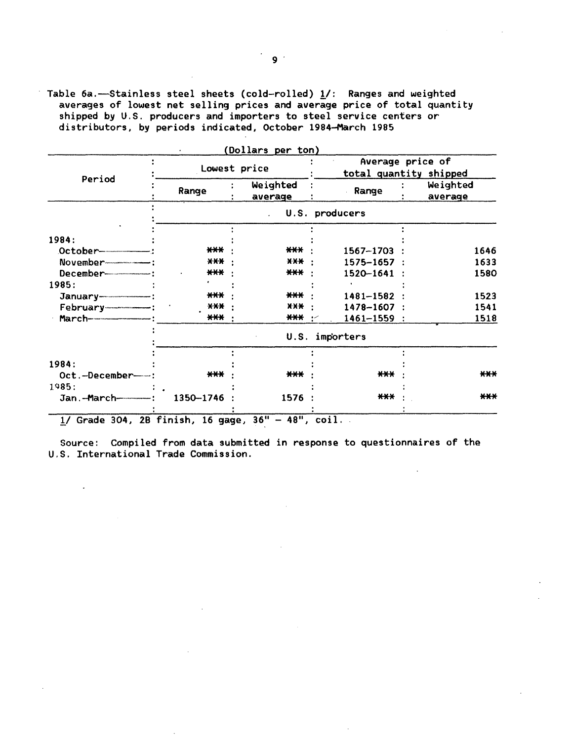Table 6a.—Stainless steel sheets (cold-rolled) 1/: Ranges and weighted averages of lowest net selling prices and average price of total quantity shipped by U.S. producers and importers to steel service centers or distributors, by periods indicated, October 1984-March 1985

|                                  |              | (Dollars per ton)   |                                            |                     |
|----------------------------------|--------------|---------------------|--------------------------------------------|---------------------|
|                                  | Lowest price |                     | Average price of<br>total quantity shipped |                     |
| Period                           | Range        | Weighted<br>average | Range                                      | Weighted<br>average |
|                                  |              |                     | U.S. producers                             |                     |
|                                  |              |                     |                                            |                     |
| 1984:                            |              |                     |                                            |                     |
|                                  | ***          | ***                 | 1567-1703                                  | 1646                |
|                                  | $***$        | $X X +$             | $1575 - 1657$ :                            | 1633                |
| December------------------------ | $***$        | $***$               | 1520-1641                                  | 1580                |
| 1985:                            |              |                     |                                            |                     |
|                                  | $***$        | $***$               | 1481-1582                                  | 1523                |
| $February$ $- -$ :               | X X X        | $X X +$             | $1478 - 1607$ :                            | 1541                |
|                                  | $***$        | ***                 | $1461 - 1559$ :<br>سيو                     | 1518                |
|                                  |              |                     | U.S. importers                             |                     |
|                                  |              |                     |                                            |                     |
| 1984:                            |              |                     |                                            |                     |
| Oct.-December-                   | $***$        | $***$               | ***                                        | $***$               |
| 1985:                            |              |                     |                                            |                     |
|                                  | 1350-1746    | 1576                | ***                                        | $***$               |
| $\mathbf{r}$ $\mathbf{r}$        | $\cdots$     | .<br>2.41           | . .                                        |                     |

 $1/$  Grade 304, 2B finish, 16 gage, 36" - 48", coil.

 $\mathbb{Z}^{\mathbb{Z}}$ 

Source: Compiled from data submitted in response to questionnaires of the U.S. International Trade Commission.

 $\sim 10$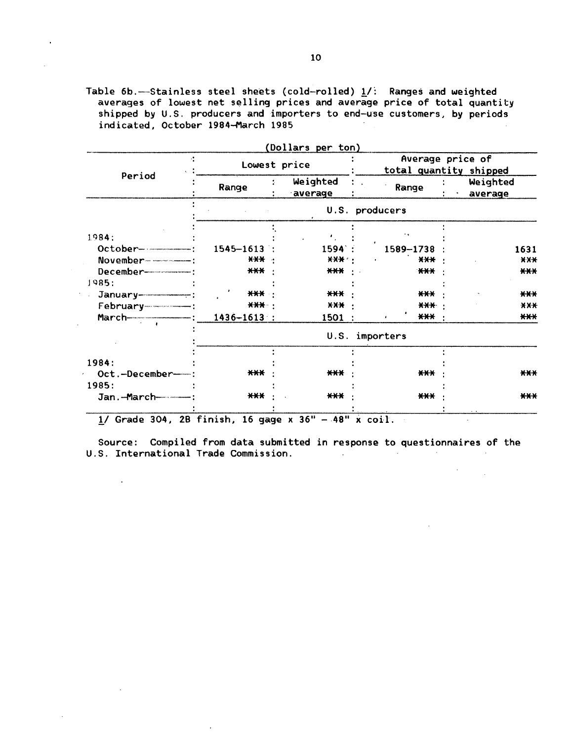Table 6b.---Stainless steel sheets (cold-rolled)  $1/$ : Ranges and weighted averages of lowest net selling prices and average price of total quantity shipped by U.S. producers and importers to end-use customers, by periods indicated, October 1984-March 1985

 $\overline{\phantom{a}}$ 

|                         | Lowest price    |                     | Average price of<br>total quantity shipped |  |                     |
|-------------------------|-----------------|---------------------|--------------------------------------------|--|---------------------|
| Period                  | Range           | Weighted<br>average | Range                                      |  | Weighted<br>average |
|                         |                 |                     | U.S. producers                             |  |                     |
| 1984:                   |                 |                     |                                            |  |                     |
|                         |                 |                     |                                            |  |                     |
|                         | $1545 - 1613$   | 1594:               | 1589-1738                                  |  | 1631                |
| November--------------- | $X+Y$           | $X$ $X$ $X$         | <b>XXX</b>                                 |  | AA                  |
|                         | $***$           | *** ·               | ***                                        |  | $***$               |
| 1985:                   |                 |                     |                                            |  |                     |
| $January$               | <b>***</b>      | $***$               | $***$                                      |  | $***$               |
|                         | $***$           | X X X               | <b>****</b>                                |  | X X X               |
|                         | $1436 - 1613$ : | 1501 :              | *** :<br>$\bullet$                         |  | $***$               |
|                         |                 |                     | U.S. importers                             |  |                     |
| 1984:                   |                 |                     |                                            |  |                     |
| Oct.-December-          | $***$           | $***$               | $***$                                      |  | $***$               |
| 1985:                   |                 |                     |                                            |  |                     |
|                         | $***$           | $***$               | $***$                                      |  |                     |
| Jan.-March-----------   |                 |                     |                                            |  | $***$               |

 $(D_0, 1, 1)$  and per ton)

 $1/$  Grade 304, 2B finish, 16 gage x 36" - 48" x coil.

 $\mathcal{L}$ 

 $\sim$ 

 $\cdot$ 

Source: Compiled from data submitted in response to questionnaires of the U.S. International Trade Commission.

 $\label{eq:2} \frac{1}{\sqrt{2}}\left(\frac{1}{\sqrt{2}}\right)^{2} \left(\frac{1}{\sqrt{2}}\right)^{2} \left(\frac{1}{\sqrt{2}}\right)^{2} \left(\frac{1}{\sqrt{2}}\right)^{2} \left(\frac{1}{\sqrt{2}}\right)^{2} \left(\frac{1}{\sqrt{2}}\right)^{2} \left(\frac{1}{\sqrt{2}}\right)^{2} \left(\frac{1}{\sqrt{2}}\right)^{2} \left(\frac{1}{\sqrt{2}}\right)^{2} \left(\frac{1}{\sqrt{2}}\right)^{2} \left(\frac{1}{\sqrt{2}}\right)^{2} \left(\frac{$ 

 $\sim$   $\sim$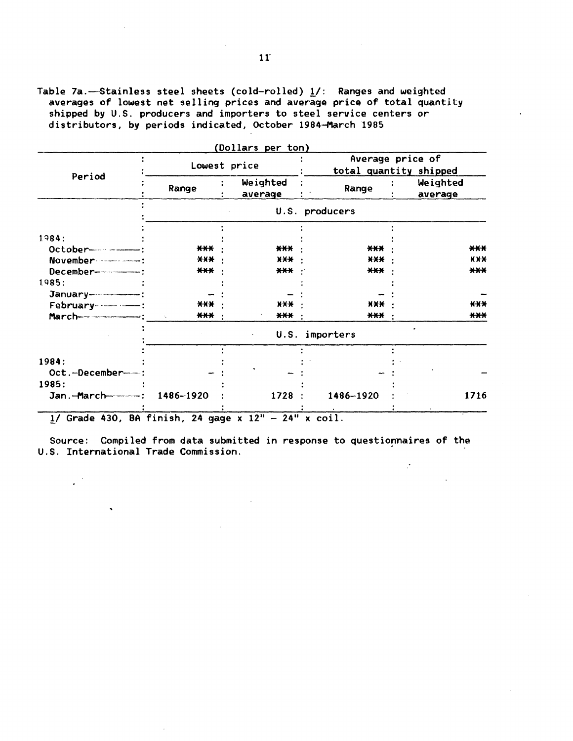Table 7a.-Stainless steel sheets (cold-rolled)  $\underline{1}/$ : Ranges and weighted averages of lowest net selling prices and average price of total quantity shipped by U.S. producers and importers to steel service centers or distributors, by periods indicated, October 1984-March 1985

|                                                                                                                                                                                                                                                                                                                                             |                                     | (Dollars per ton)   |                |                                            |
|---------------------------------------------------------------------------------------------------------------------------------------------------------------------------------------------------------------------------------------------------------------------------------------------------------------------------------------------|-------------------------------------|---------------------|----------------|--------------------------------------------|
| Period                                                                                                                                                                                                                                                                                                                                      | Lowest price                        |                     |                | Average price of<br>total quantity shipped |
|                                                                                                                                                                                                                                                                                                                                             | Range                               | Weighted<br>average | Range          | Weighted<br>average                        |
|                                                                                                                                                                                                                                                                                                                                             |                                     |                     | U.S. producers |                                            |
|                                                                                                                                                                                                                                                                                                                                             |                                     |                     |                |                                            |
| 1984:                                                                                                                                                                                                                                                                                                                                       |                                     |                     |                |                                            |
|                                                                                                                                                                                                                                                                                                                                             | $***$                               | $****$              | $***$          | $***$                                      |
| November ----------------                                                                                                                                                                                                                                                                                                                   | X X X                               | $X + Y$             | X X X          | X X X                                      |
|                                                                                                                                                                                                                                                                                                                                             | $***$                               | $\star\star\star$ . | $***$          | $***$                                      |
| 1985:                                                                                                                                                                                                                                                                                                                                       |                                     |                     |                |                                            |
|                                                                                                                                                                                                                                                                                                                                             |                                     |                     |                |                                            |
| February ---------------                                                                                                                                                                                                                                                                                                                    | ***                                 | X X X               | <b>XXX</b>     | $X$ $X$ $X$                                |
| $March$ $\cdots$ $\cdots$ $\cdots$ $\cdots$ $\cdots$ $\cdots$ $\cdots$ $\cdots$ $\cdots$ $\cdots$ $\cdots$ $\cdots$ $\cdots$ $\cdots$ $\cdots$ $\cdots$ $\cdots$ $\cdots$ $\cdots$ $\cdots$ $\cdots$ $\cdots$ $\cdots$ $\cdots$ $\cdots$ $\cdots$ $\cdots$ $\cdots$ $\cdots$ $\cdots$ $\cdots$ $\cdots$ $\cdots$ $\cdots$ $\cdots$ $\cdots$ | $***$<br>$\mathcal{H}_{\mathbf{a}}$ | $\star\star\star$   | $***$          | ***                                        |
|                                                                                                                                                                                                                                                                                                                                             |                                     |                     | U.S. importers |                                            |
|                                                                                                                                                                                                                                                                                                                                             |                                     |                     |                |                                            |
| 1984:                                                                                                                                                                                                                                                                                                                                       |                                     |                     |                |                                            |
| Oct.-December----                                                                                                                                                                                                                                                                                                                           |                                     |                     |                |                                            |
| 1985:                                                                                                                                                                                                                                                                                                                                       |                                     |                     |                |                                            |
| $Jan.-March-----:$                                                                                                                                                                                                                                                                                                                          | 1486-1920                           | 1728 :              | 1486-1920      | 1716                                       |
| $\mathbf{a} \cdot \mathbf{b}$ and $\mathbf{b} \cdot \mathbf{c}$ and $\mathbf{b} \cdot \mathbf{c}$                                                                                                                                                                                                                                           |                                     | $-0.11$<br>$A + 11$ | $\cdot$ .      |                                            |

(Dollars per ton)

 $1/$  Grade 430, BA finish, 24 gage x  $12" - 24"$  x coil.

 $\mathbb{Z}^{\mathbb{Z}^2}$ 

 $\ddot{\phantom{0}}$ 

Source: Compiled from data submitted in response to questionnaires of the U.S. International Trade Commission.

 $\mathcal{L}$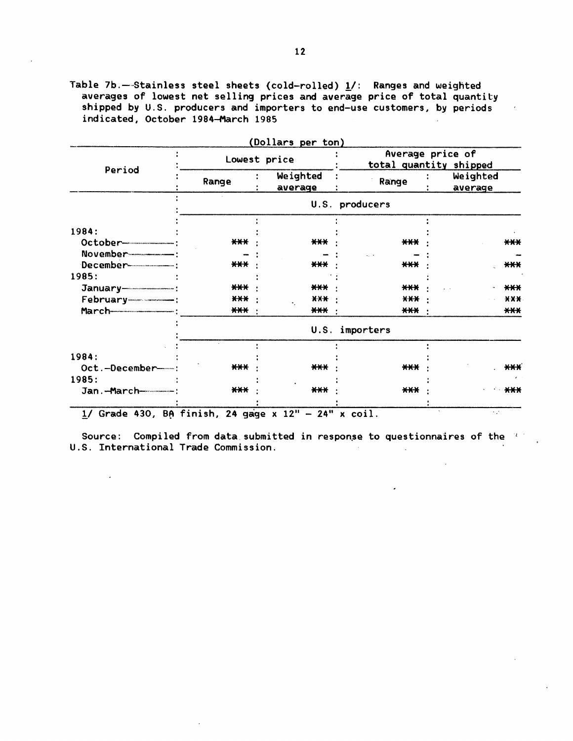Table 7b.--Stainless steel sheets (cold-rolled) 1/: Ranges and weighted averages of lowest net selling prices and average price of total quantity shipped by U.S. producers and importers to end-use customers, by periods indicated, October 1984-March 1985

|                               | Lowest price |                       |                   | Average price of<br>total quantity shipped |
|-------------------------------|--------------|-----------------------|-------------------|--------------------------------------------|
| Period                        | Range        | Weighted<br>average   | Range             | Weighted<br>average                        |
|                               |              |                       | U.S. producers    |                                            |
| 1984:                         |              |                       |                   |                                            |
|                               | $***$        | $***$                 | $***$             | $***$                                      |
| November--------------------- |              |                       |                   |                                            |
|                               | $***$        | *** ·                 | $***$             | $***$                                      |
| 1985:                         |              |                       |                   |                                            |
|                               | $***$        | *** ·                 | *** ·             | $***$                                      |
|                               | $***$        | $X$ $X$ $X$ $Y$       | $X+X$             | $X$ $X$ $X$                                |
|                               | $\bf***$     | *** ·                 | $\star\star\star$ | $***$                                      |
|                               |              | U.S.                  | importers         |                                            |
|                               |              |                       |                   |                                            |
| 1984:                         |              |                       |                   |                                            |
| Oct.-December-                | $***$        | $***$                 | $***$             | $\star\star\star$                          |
| 1985:                         |              |                       |                   |                                            |
| Jan.-March-------------       | $***$        | $\star\!\star\!\star$ | $***$             | ****                                       |

Source: Compiled from data submitted in response to questionnaires of the same U.S. International Trade Commission.  $\mathcal{L}_{\text{max}}$ 

 $\sim$ 

 $\sim$   $\lambda$ 

 $\sim 100$ 

 $\mathcal{L}^{\pm}$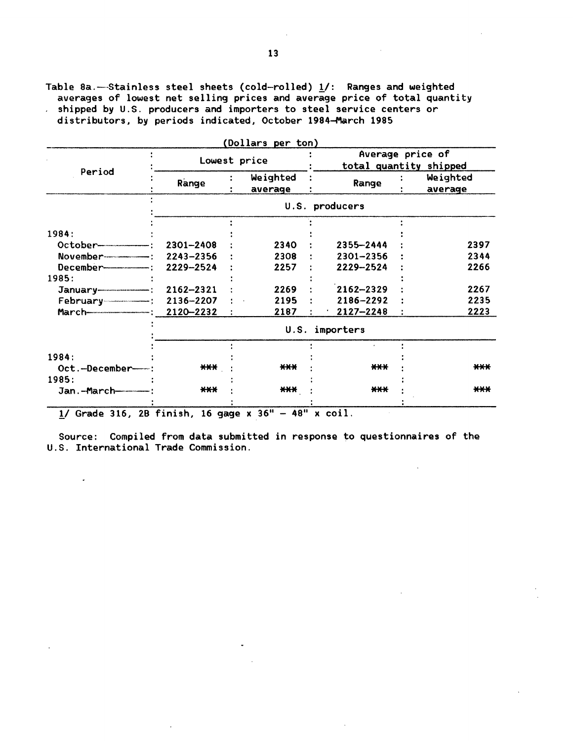Table 8a.-Stainless steel sheets (cold-rolled)  $\underline{1}/$ : Ranges and weighted averages of lowest net selling prices and average price of total quantity shipped by U.S. producers and importers to steel service centers or distributors, by periods indicated, October 1984-March 1985

|                                           |                | Lowest price        |                | Average price of<br>total quantity shipped |  |  |
|-------------------------------------------|----------------|---------------------|----------------|--------------------------------------------|--|--|
| Period                                    | Range          | Weighted<br>average | Range          | Weighted<br>average                        |  |  |
|                                           | U.S. producers |                     |                |                                            |  |  |
|                                           |                |                     |                |                                            |  |  |
| 1984:                                     |                |                     |                |                                            |  |  |
|                                           | 2301-2408      | 2340                | 2355-2444      | 2397                                       |  |  |
| November-------- <del>-----------</del> : | 2243-2356      | 2308                | $2301 - 2356$  | 2344                                       |  |  |
|                                           | 2229-2524      | 2257                | 2229-2524      | 2266                                       |  |  |
| 1985:                                     |                |                     |                |                                            |  |  |
|                                           | $2162 - 2321$  | 2269                | $2162 - 2329$  | 2267                                       |  |  |
|                                           | 2136-2207      | 2195                | 2186-2292      | 2235                                       |  |  |
|                                           | 2120-2232      | 2187                | $2127 - 2248$  | 2223                                       |  |  |
|                                           |                |                     | U.S. importers |                                            |  |  |
|                                           |                |                     |                |                                            |  |  |
| 1984:                                     |                |                     |                |                                            |  |  |
| Oct.-December-                            | $***$          | $***$               | $***$          | $***$                                      |  |  |
| 1985:                                     |                |                     |                |                                            |  |  |
|                                           | ***            | $***$               | $***$          | $***$                                      |  |  |

(Dollars per ton)

 $1/$  Grade 316, 28 finish, 16 gage x 36" - 48" x coil.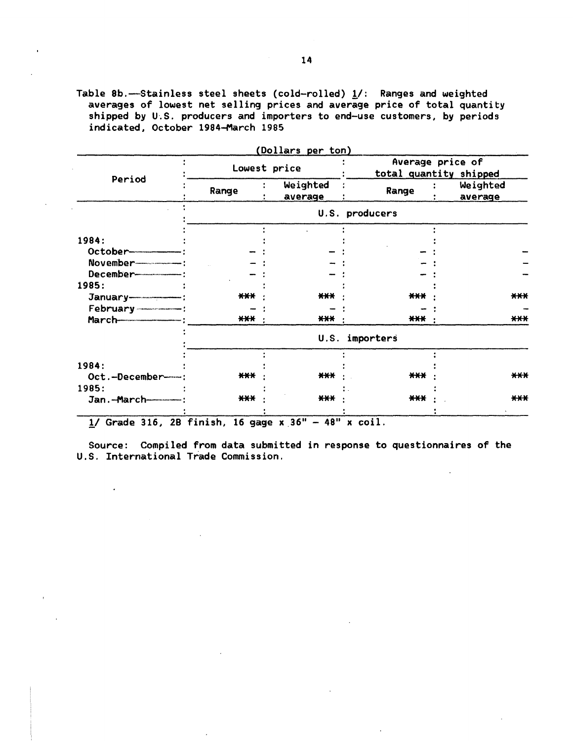Table 8b.-Stainless steel sheets (cold-rolled)  $\underline{\mathbf{1}}$ /: Ranges and weighted averages of lowest net selling prices and average price of total quantity shipped by U.S. producers and importers to end-use customers, by periods indicated, October 1984-March 1985

|                           |                   | (Dollars per ton)   |                |                                            |
|---------------------------|-------------------|---------------------|----------------|--------------------------------------------|
|                           |                   | Lowest price        |                | Average price of<br>total quantity shipped |
| Period                    | Range             | Weighted<br>average | Range          | Weighted<br>average                        |
|                           |                   |                     | U.S. producers |                                            |
|                           |                   |                     |                |                                            |
| 1984:                     |                   |                     |                |                                            |
|                           |                   |                     |                |                                            |
| November----------------- |                   |                     |                |                                            |
|                           |                   |                     |                |                                            |
| 1985:                     |                   |                     |                |                                            |
|                           | $***$             | $***$               | ***            | $***$                                      |
|                           |                   |                     |                |                                            |
| <b>March</b> 2007         | $\star\star\star$ | ***                 | $\bf***$       | $***$                                      |
|                           |                   | U.S.                | importers      |                                            |
|                           |                   |                     |                |                                            |
| 1984:                     |                   |                     |                |                                            |
| Oct.-December-            | ***               | $***$               | ***            | $***$                                      |
| 1985:                     |                   |                     |                |                                            |
| Jan.-March------          | $***$             | $***$               | $***$          | $***$                                      |
|                           |                   |                     |                |                                            |

 $(D - 1)$ 

 $\frac{1}{2}$ / Grade 316, 2B finish, 16 gage x 36" - 48" x coil.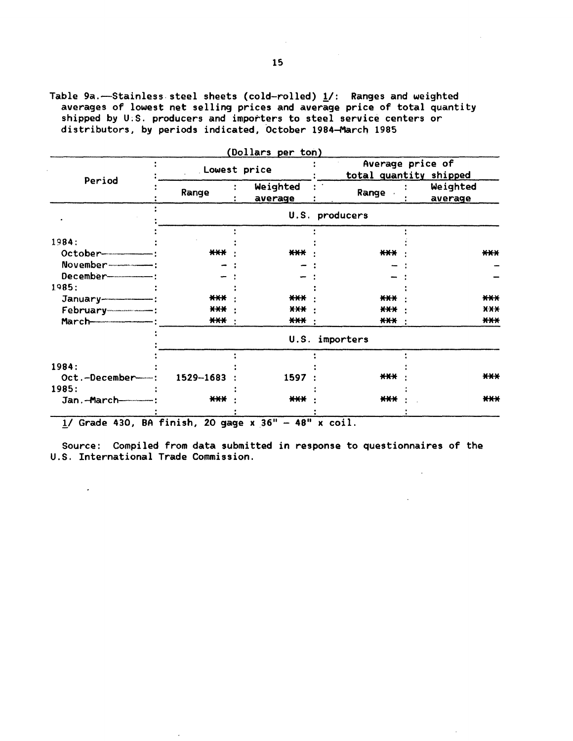Table 9a.-Stainless steel sheets (cold-rolled)  $\underline{1}/$ : Ranges and weighted averages of lowest net selling prices and average price of total quantity shipped by U:S. producers and importers to steel service centers or distributors, by periods indicated, October 1984-March 1985

| Average price of<br>Lowest price<br>total quantity shipped<br>Period<br>Weighted<br>Weighted<br><b>Range</b><br>Range<br>average<br>average<br>U.S. producers<br>1984:<br>$***$<br>$***$<br>$***$<br>December---------------<br>1985:<br>***<br>$***$<br>***<br>$***$<br>*** :<br>$***$<br>*** :<br><b>***</b> :<br>$\star\star\star$ :<br>U.S. importers<br>$***$<br>1529-1683<br>Oct.-December-<br>1597 |       |  |  | (Dollars per ton) |  |       |
|-----------------------------------------------------------------------------------------------------------------------------------------------------------------------------------------------------------------------------------------------------------------------------------------------------------------------------------------------------------------------------------------------------------|-------|--|--|-------------------|--|-------|
|                                                                                                                                                                                                                                                                                                                                                                                                           |       |  |  |                   |  |       |
|                                                                                                                                                                                                                                                                                                                                                                                                           |       |  |  |                   |  |       |
|                                                                                                                                                                                                                                                                                                                                                                                                           |       |  |  |                   |  |       |
|                                                                                                                                                                                                                                                                                                                                                                                                           |       |  |  |                   |  |       |
|                                                                                                                                                                                                                                                                                                                                                                                                           | $***$ |  |  |                   |  |       |
|                                                                                                                                                                                                                                                                                                                                                                                                           |       |  |  |                   |  |       |
|                                                                                                                                                                                                                                                                                                                                                                                                           |       |  |  |                   |  |       |
|                                                                                                                                                                                                                                                                                                                                                                                                           |       |  |  |                   |  |       |
|                                                                                                                                                                                                                                                                                                                                                                                                           | ***   |  |  |                   |  |       |
|                                                                                                                                                                                                                                                                                                                                                                                                           | $X-X$ |  |  |                   |  |       |
|                                                                                                                                                                                                                                                                                                                                                                                                           | $***$ |  |  |                   |  |       |
| 1984:                                                                                                                                                                                                                                                                                                                                                                                                     |       |  |  |                   |  |       |
|                                                                                                                                                                                                                                                                                                                                                                                                           |       |  |  |                   |  |       |
|                                                                                                                                                                                                                                                                                                                                                                                                           |       |  |  |                   |  |       |
|                                                                                                                                                                                                                                                                                                                                                                                                           | ***   |  |  |                   |  |       |
|                                                                                                                                                                                                                                                                                                                                                                                                           |       |  |  |                   |  | 1985: |
| ***<br><b>***</b><br>***<br>Jan.-March----------                                                                                                                                                                                                                                                                                                                                                          | $***$ |  |  |                   |  |       |

1/ Grade 430, BA finish, 20 gage x 36" - 48" x coil.

 $\overline{\phantom{a}}$ 

 $\sim$ 

Source: Compiled from data submitted in response to questionnaires of the U.S. International Trade Commission.

 $\sim 10^{-1}$ 

 $\bar{z}$ 

 $\sim$   $\sim$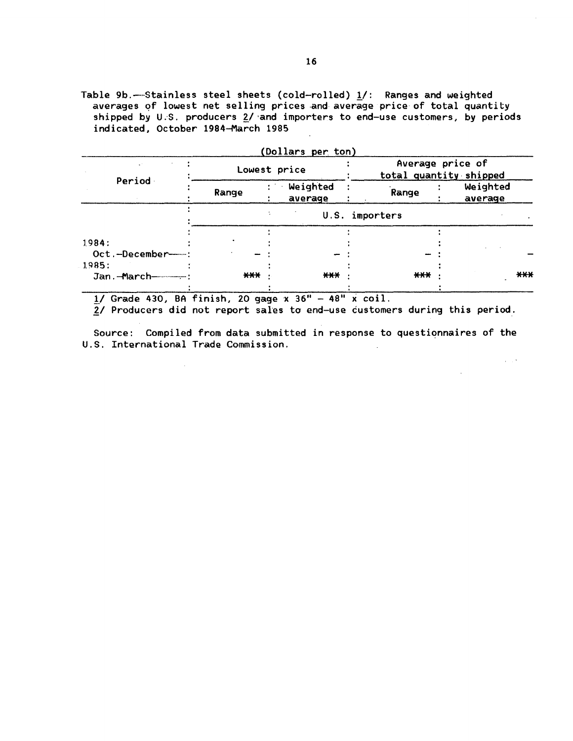Table 9b.--Stainless steel sheets (cold-rolled)  $1/$ : Ranges and weighted averages of lowest net selling prices and average price of total quantity shipped by U.S. producers  $2/$  and importers to end-use customers, by periods indicated, October 1984-March 1985

|                        |                   | (Dollars per ton)   |                |                                            |
|------------------------|-------------------|---------------------|----------------|--------------------------------------------|
|                        |                   | Lowest price        |                | Average price of<br>total quantity shipped |
| Period                 | Range             | Weighted<br>average | Range          | Weighted<br>average                        |
|                        |                   |                     | U.S. importers |                                            |
|                        |                   |                     |                |                                            |
| 1984:                  |                   |                     |                |                                            |
| Oct.-December-         |                   |                     |                |                                            |
| 1985:                  |                   |                     |                |                                            |
| Jan.-March------------ | $\star\star\star$ | $***$               | $***$          | ***                                        |

 $1/$  Grade 430, BA finish, 20 gage  $x$  36" - 48" x coil.

2/ Producers did not report sales to end-use customers during this period.

Source: Compiled from data submitted in response to questionnaires of the U.S. International Trade Commission.

 $\alpha \sim 10^6$ 

 $\sim 100$  km s  $^{-1}$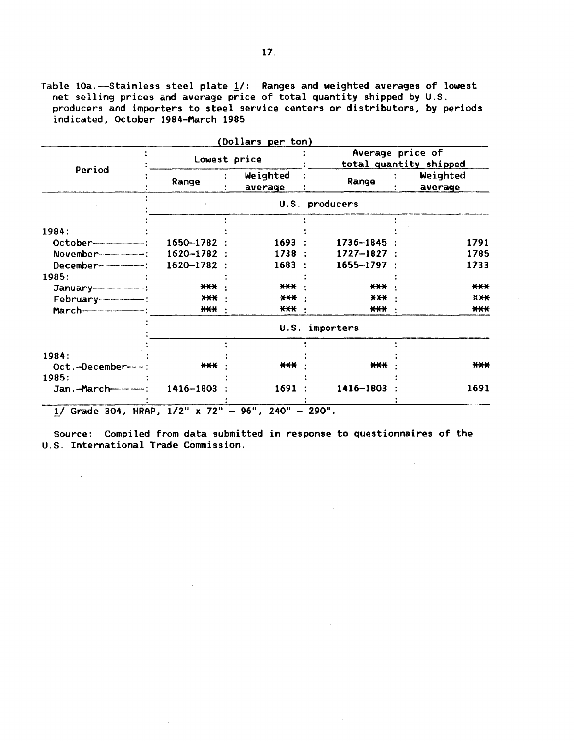Table 10a.-Stainless steel plate 1/: Ranges and weighted averages of lowest net selling prices and average price of total quantity shipped by U.S. producers and importers to steel service centers or distributors, by periods indicated, October 1984-March 1985

|                         |                   | (Dollars per ton)   | Average price of       |  |                     |
|-------------------------|-------------------|---------------------|------------------------|--|---------------------|
|                         |                   | Lowest price        | total quantity shipped |  |                     |
| Period                  | Range             | Weighted<br>average | Range                  |  | Weighted<br>average |
|                         |                   |                     | U.S. producers         |  |                     |
|                         |                   |                     |                        |  |                     |
| 1984:                   |                   |                     |                        |  |                     |
|                         | $1650 - 1782$ :   | 1693:               | 1736–1845              |  | 1791                |
|                         | 1620-1782 :       | 1738 :              | $1727 - 1827$ :        |  | 1785                |
|                         | 1620-1782 :       | 1683 :              | 1655-1797 :            |  | 1733                |
| 1985:                   |                   |                     |                        |  |                     |
|                         | $\star\star\star$ | ***                 | $***$                  |  | $***$               |
|                         | <b>XXX</b>        | X X X               | $\star\star\star$      |  | <b>XXX</b>          |
|                         | *** ·             | *** :               | $***$                  |  | $***$               |
|                         |                   |                     | U.S. importers         |  |                     |
|                         |                   |                     |                        |  |                     |
| 1984:<br>Oct.-December- | $***$             | $***$               | ***                    |  | ***                 |
|                         |                   |                     |                        |  |                     |
| 1985:                   |                   |                     |                        |  |                     |
|                         | 1416-1803         | 1691 :              | 1416-1803              |  | 1691                |

 $1/$  Grade 304, HRAP,  $1/2''$  x 72" - 96", 240" - 290".

 $\sim 10^{11}$  km s  $^{-1}$ 

 $\sim 10^{-10}$ 

 $\mathcal{A}$ 

 $\sim 10^{-11}$ 

 $\sim$ 

Source: Compiled from data submitted in response to questionnaires of the U.S. International Trade Commission.

 $\sim 10^{-11}$ 

 $\sim 100$  km s  $^{-1}$ 

 $\sim$ 

 $\sim 100$ 

 $\sim 10^{11}$  km  $^{-1}$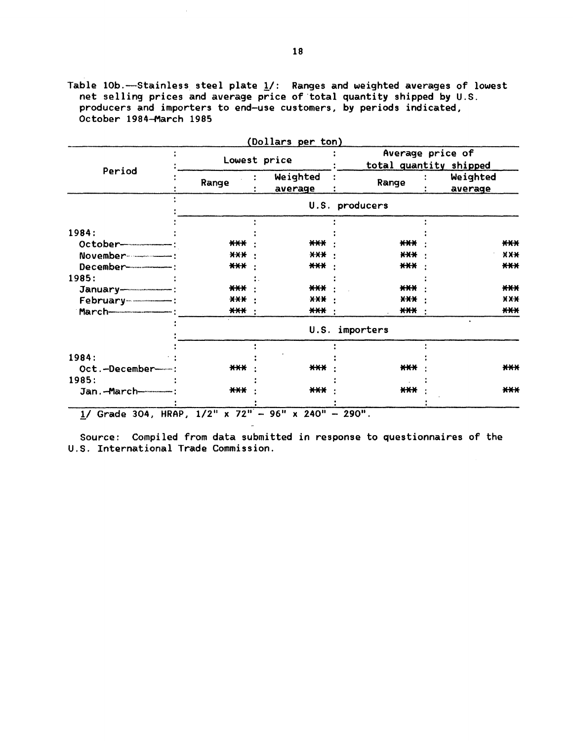Table 10b.--Stainless steel plate  $\underline{\mathbf{1}}/$ : Ranges and weighted averages of lowest net selling prices and average price of total quantity shipped by U.S. producers and importers to end-use customers, by periods indicated, October 1984-March 1985

|                           |              | Dollars per ton)                           |                   |  |                     |       |
|---------------------------|--------------|--------------------------------------------|-------------------|--|---------------------|-------|
|                           | Lowest price | Average price of<br>total quantity shipped |                   |  |                     |       |
| Period                    | Range        | Weighted<br>average                        | Range             |  | Weighted<br>average |       |
|                           |              |                                            | U.S. producers    |  |                     |       |
|                           |              |                                            |                   |  |                     |       |
| 1984:                     |              |                                            |                   |  |                     |       |
| October-----------------  | $***$        | ***                                        | $***$             |  |                     | ***   |
| November----------------  | <b>XXX</b>   | X X X                                      | $\star\star\star$ |  |                     | X X X |
| December----------------  | $***$        | $***$                                      | $***$             |  |                     | $***$ |
| 1985:                     |              |                                            |                   |  |                     |       |
|                           | $***$        | $***$                                      | $***$             |  |                     | $***$ |
|                           | $X-X$        | X X X                                      | <b>XXX</b>        |  |                     | X X X |
|                           | ***          | $***$                                      | <b>***</b>        |  |                     | ***   |
|                           |              | U.S.                                       | importers         |  |                     |       |
|                           |              |                                            |                   |  |                     |       |
| 1984:                     |              |                                            |                   |  |                     |       |
| Oct.-December-            | $***$        | $***$                                      | $***$             |  |                     | $***$ |
| 1985:                     |              |                                            |                   |  |                     |       |
| Jan. - March------------- | $***$        | $***$                                      | $***$             |  |                     | $***$ |
|                           |              |                                            |                   |  |                     |       |

 $(D_{\alpha})$ lars per ton)

 $1/$  Grade 304, HRAP,  $1/2$ " x 72" - 96" x 240" - 290".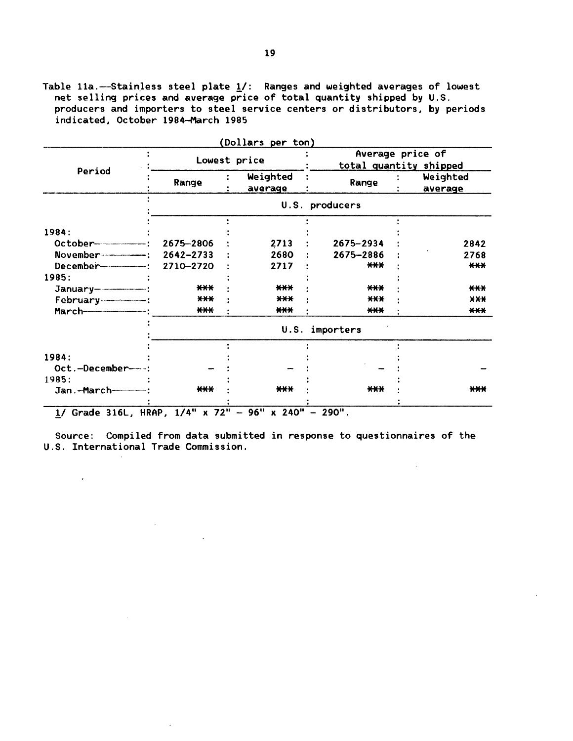Table 11a.-Stainless steel plate  $\underline{1}/$ : Ranges and weighted averages of lowest net selling prices and average price of total quantity shipped by U.S. producers and importers to steel service centers or distributors, by periods indicated, October 1984-March 1985

|                                 |               |                     |                        |  | Average price of    |  |
|---------------------------------|---------------|---------------------|------------------------|--|---------------------|--|
|                                 | Lowest price  |                     | total quantity shipped |  |                     |  |
| Period                          | Range         | Weighted<br>average | Range                  |  | Weighted<br>average |  |
|                                 |               |                     | U.S. producers         |  |                     |  |
| 1984:                           |               |                     |                        |  |                     |  |
|                                 | 2675-2806     | 2713                | 2675-2934              |  | 2842                |  |
|                                 | $2642 - 2733$ | 2680                | 2675-2886              |  | 2768                |  |
|                                 | 2710-2720     |                     | $***$                  |  | $***$               |  |
| 1985:                           |               | 2717                |                        |  |                     |  |
|                                 | $***$         | $***$               | ***                    |  | $***$               |  |
|                                 | $***$         | $***$               | $***$                  |  | X X X               |  |
|                                 | $***$         | $***$               | $***$                  |  | $***$               |  |
|                                 |               | U.S.                | importers              |  |                     |  |
|                                 |               |                     |                        |  |                     |  |
| 1984:                           |               |                     |                        |  |                     |  |
| Oct.-December-                  |               |                     |                        |  |                     |  |
| 1985:                           |               |                     |                        |  |                     |  |
| Jan.-March-------------         | $***$         | ***                 | $***$                  |  | <b>***</b>          |  |
|                                 |               |                     |                        |  |                     |  |
| 1/ Grade 316L, HRAP, 1/4" x 72" |               | $-96" \times 240"$  | $-290"$ .              |  |                     |  |

(Dollars per ton)

Source: Compiled from data submitted in response to questionnaires of the U.S. International Trade Commission.

 $\ddot{\phantom{0}}$ 

 $\sim 10^{-11}$ 

 $\sim$ 

 $\sim 10^7$ 

 $\sim 10^{11}$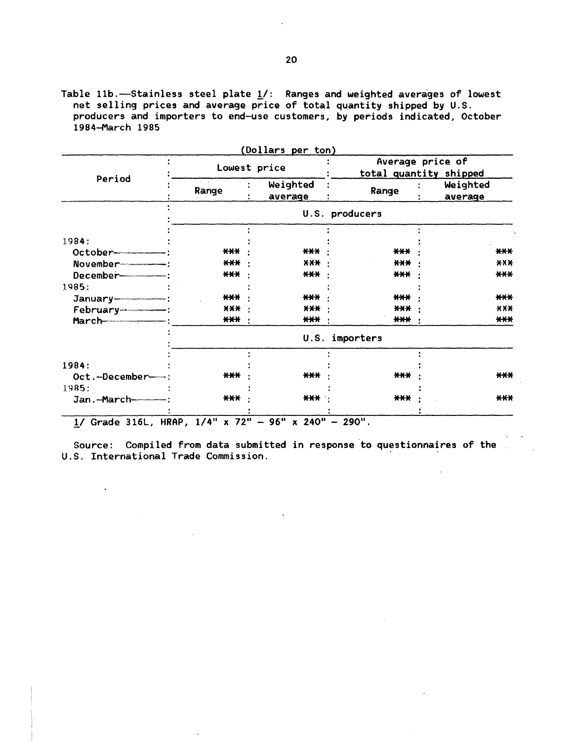Table 11b.--Stainless steel plate  $\underline{\mathbf{1}}/$ : Ranges and weighted averages of lowest net selling prices and average price of total quantity shipped by U.S. producers and importers to end-use customers, by periods indicated, October 1984-March 1985

|                                  |                | (Dollars per ton)   |                |                                            |  |  |
|----------------------------------|----------------|---------------------|----------------|--------------------------------------------|--|--|
|                                  | Lowest price   |                     |                | Average price of<br>total quantity shipped |  |  |
| Period                           | Range          | Weighted<br>average | Range          | Weighted<br><u>average</u>                 |  |  |
|                                  |                |                     | U.S. producers |                                            |  |  |
|                                  |                |                     |                |                                            |  |  |
| 1984:                            | $***$          | ***                 | $***$          | $***$                                      |  |  |
|                                  | $***$          | XXX ·               | $+++$          | $X$ $X$ $X$                                |  |  |
|                                  | ***            | ***                 | $***$          | $***$                                      |  |  |
| 1985:                            |                |                     |                |                                            |  |  |
|                                  | ***            | ***                 | $***$          | $***$                                      |  |  |
|                                  | X X X          | *** :               | $***$          | X X X                                      |  |  |
|                                  | <b>***</b> :   | *** ·               | $***$          | $***$                                      |  |  |
|                                  |                | U.S.                | importers      |                                            |  |  |
|                                  |                |                     |                |                                            |  |  |
| 1984:                            |                |                     |                |                                            |  |  |
| Oct.-December-                   | $***$          | $***$               | ***            | ***                                        |  |  |
| 1985:                            |                |                     |                |                                            |  |  |
| Jan. - March - - - - - - - - :   | $***$          | *** ·               | ***            | $***$                                      |  |  |
| <b>UDAD</b><br>$11$ Cards $2161$ | $1 / AB = 720$ | O G H<br>0.210      | 20011          |                                            |  |  |

 $\mu$  Grade 316L, HRAP,  $1/4$ " x  $72$ " - 96" x 240" - 290".

 $\ddot{\phantom{0}}$ 

 $\mathbb{Z}^2$ 

Source: Compiled from data submitted in response to questionnaires of the U.S. International Trade Commission.

 $\ddot{\phantom{a}}$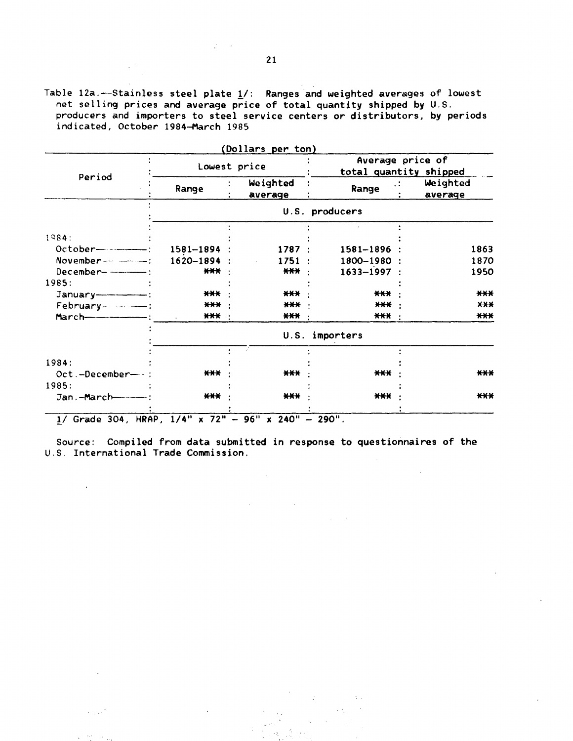Table 12a. $-$ Stainless steel plate  $\underline{1}/$ : Ranges and weighted averages of lowest net selling prices and average price of total quantity shipped by U.S. producers and importers to steel service centers or distributors, by periods indicated, October 1984-March 1985

|                                                     | Lowest price       | (Dollars per ton)                   | Average price of<br>total quantity shipped |                     |
|-----------------------------------------------------|--------------------|-------------------------------------|--------------------------------------------|---------------------|
| Period                                              | Range              | Weighted<br>average                 | Range                                      | Weighted<br>average |
|                                                     |                    |                                     | U.S. producers                             |                     |
|                                                     |                    |                                     |                                            |                     |
| 1984:                                               | $1581 - 1894$ :    | 1787:                               | $1581 - 1896$ :                            | 1863                |
| November-                                           | $1620 - 1894$ :    | 1751:<br>$\mathcal{L}^{\text{max}}$ | 1800-1980 :                                | 1870                |
| $December-----.$                                    | $\bigstar\bigstar$ | *** ·                               | $1633 - 1997$ :                            | 1950                |
| 1985:                                               |                    |                                     |                                            |                     |
| January---------------                              | ***                | $***$                               | $***$                                      | $***$               |
| February- ------                                    | *** :              | $\star\star\star$                   | ***                                        | X X X               |
|                                                     | $***$              | *** ·                               | *** ·                                      | $***$               |
|                                                     |                    |                                     | U.S. importers                             |                     |
|                                                     |                    |                                     |                                            |                     |
| 1984:                                               |                    |                                     |                                            |                     |
| $Oct.-December--:$                                  | ***                | $***$                               | ***                                        | ***                 |
| 1985:                                               |                    |                                     |                                            |                     |
| Jan.-March------                                    | $***$              | $***$                               | $\star\star\star$                          | $***$               |
| 1/ Grade 304, HRAP, 1/4" x 72" - 96" x 240" - 290". |                    |                                     |                                            |                     |

Source: Compiled from data submitted in response to questionnaires of the U.S. International Trade Commission.

 $\bar{\mathcal{A}}$ 

 $\mathcal{L}_{\text{max}}$  and  $\mathcal{L}_{\text{max}}$ 

 $\mathcal{L}$ 

 $\mathcal{L}_{\mathcal{A}}$ 

 $\mathcal{L} \subset \mathbb{R}^n$ 

 $\mathcal{L}^{\pm}$  .

 $\sim 100$ 

أأنبي والمرا

 $\sim$   $\sim$  $\epsilon_{\rm max}$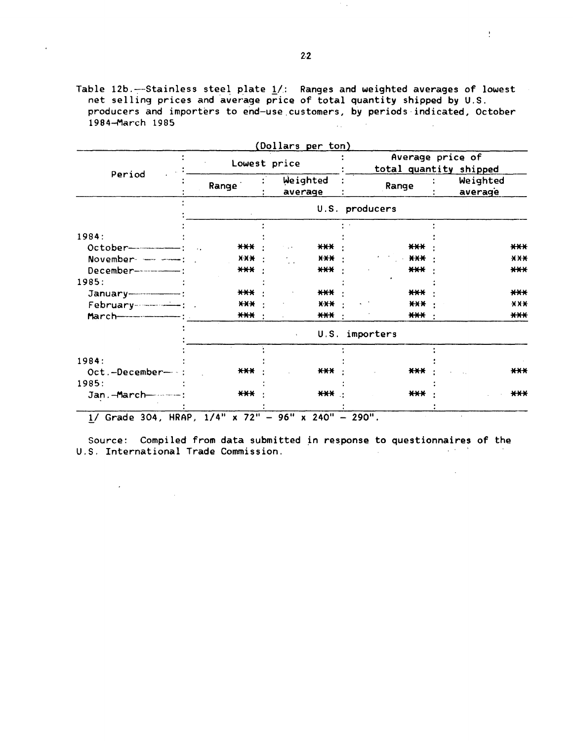Table 12b.--Stainless steel plate  $1/$ : Ranges and weighted averages of lowest *net* selling prices and average price of total quantity shipped by U.S. producers and importers to end-use customers, by periods indicated, October 1984-March 1985  $\mathcal{L}_{\text{max}}$  and  $\mathcal{L}_{\text{max}}$ 

 $\hat{\mathbf{r}}$ 

|                       |                   |  |                     |                        | Average price of    |  |  |
|-----------------------|-------------------|--|---------------------|------------------------|---------------------|--|--|
| Period                | Lowest price      |  |                     | total quantity shipped |                     |  |  |
|                       | Range             |  | Weighted<br>average | Range                  | Weighted<br>average |  |  |
|                       |                   |  |                     | U.S. producers         |                     |  |  |
|                       |                   |  |                     |                        |                     |  |  |
| 1984:                 |                   |  |                     |                        |                     |  |  |
|                       | ***               |  | ***<br>n is k       | $***$                  | $***$               |  |  |
| November - - - - - -  | X X X             |  | $***$               | $\mathbf{H}$           | <b>XXX</b>          |  |  |
|                       | ***               |  | *** ·               | $***$                  | $***$               |  |  |
| 1985:                 |                   |  |                     |                        |                     |  |  |
|                       | $\star\star\star$ |  | ***                 | $***$                  | $***$               |  |  |
|                       | <b>XXX</b>        |  | $X$ $X$ $X$         | X X X                  | X X X               |  |  |
|                       | *** ·             |  | *** :               | *** :                  | $***$               |  |  |
|                       |                   |  | $\mathbf{r}$        | U.S. importers         |                     |  |  |
|                       |                   |  |                     |                        |                     |  |  |
| 1984:                 |                   |  |                     |                        |                     |  |  |
| Oct.-December-        | $***$             |  | $***$               | $***$                  | $***$               |  |  |
| 1985:                 |                   |  |                     |                        |                     |  |  |
| Jan.-March----------- | $***$             |  | *** :               | $***$                  | $***$               |  |  |

(Dollars per ton)

 $1/$  Grade 304, HRAP,  $1/4$ " x 72" - 96" x 240" - 290".

 $\label{eq:2.1} \frac{d\mathbf{r}}{d\mathbf{r}} = \frac{1}{2} \left( \frac{\partial \mathbf{r}}{\partial \mathbf{r}} \right)^2 \mathbf{r}^2 \mathbf{r}^2 \mathbf{r}^2 \mathbf{r}^2 \mathbf{r}^2 \mathbf{r}^2 \mathbf{r}^2 \mathbf{r}^2 \mathbf{r}^2 \mathbf{r}^2 \mathbf{r}^2 \mathbf{r}^2 \mathbf{r}^2 \mathbf{r}^2 \mathbf{r}^2 \mathbf{r}^2 \mathbf{r}^2 \mathbf{r}^2 \mathbf{r}^2 \mathbf{r}^2$ 

Source: Compiled from data submitted in response to questionnaires of the U.S. International Trade Commission.  $\sim 100$   $\mu$ 

 $\sim$ 

 $\sim 1$ 

 $\sim 10^{11}$  km  $^{-1}$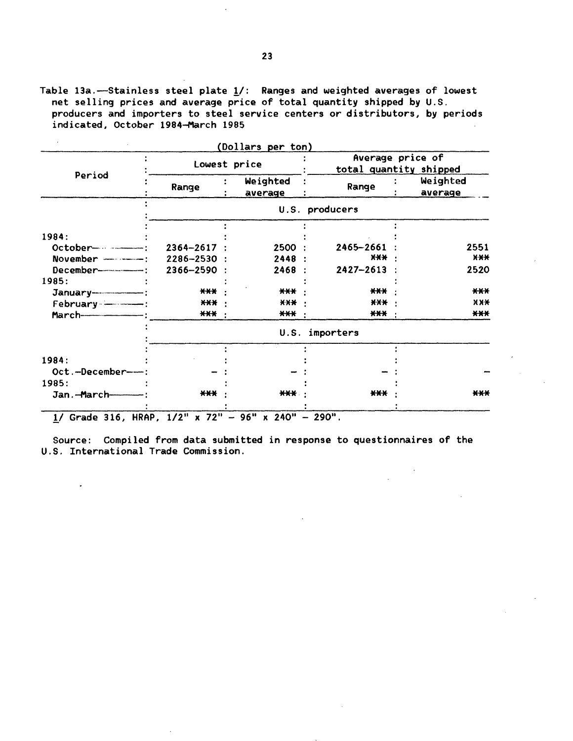Table 13a.-Stainless steel plate  $1/$ : Ranges and weighted averages of lowest net selling prices and average price of total quantity shipped by U.S. producers and importers to steel service centers or distributors, by periods indicated, October 1984-March 1985

|                                      |                 |                     | Average price of       |                     |
|--------------------------------------|-----------------|---------------------|------------------------|---------------------|
|                                      | Lowest price    |                     | total quantity shipped |                     |
| Period                               | Range           | Weighted<br>average | Range                  | Weighted<br>average |
|                                      |                 |                     | U.S. producers         |                     |
|                                      |                 |                     |                        |                     |
| 1984:                                |                 |                     |                        |                     |
| October----------------              | $2364 - 2617$ : | 2500 :              | 2465-2661              | 2551                |
| November ------------: 2286-2530 :   |                 | 2448:               | $X+X$                  | $X$ $X$ $X$         |
| December---------------: 2366-2590 : |                 | 2468:               | $2427 - 2613$ :        | 2520                |
| 1985:                                |                 |                     |                        |                     |
|                                      | ***             | ***                 | ***                    | $***$               |
|                                      | *** :           | $X$ $X$ $X$ $Y$     | $\star\star\star$ .    | $X$ $X$ $X$         |
|                                      | *** ·           | *** ·               | *** ·                  | $***$               |
|                                      |                 |                     | U.S. importers         |                     |
|                                      |                 |                     |                        |                     |
| 1984:                                |                 |                     |                        |                     |
| Oct.-December--                      |                 |                     |                        |                     |
| 1985:                                |                 |                     |                        |                     |
| Jan.-March-                          | ***             | *** ·               | $***$                  | $***$               |

 $1/$  Grade 316, HRAP,  $1/2$ " x 72" - 96" x 240" - 290".

 $\bullet$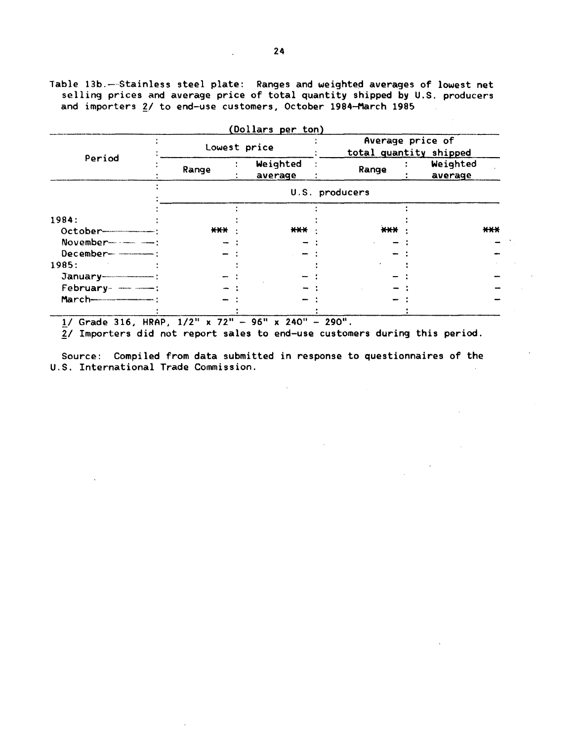Table 13b.— Stainless steel plate: Ranges and weighted averages of lowest net selling prices and average price of total quantity shipped by U.S. producers and importers 2/ to end-use customers, October 1984-March 1985

|                           |              |  | (Dollars per ton)   |                                            |  |                     |       |
|---------------------------|--------------|--|---------------------|--------------------------------------------|--|---------------------|-------|
|                           | Lowest price |  |                     | Average price of<br>total quantity shipped |  |                     |       |
| Period                    | Range        |  | Weighted<br>average | Range                                      |  | Weighted<br>average |       |
|                           |              |  |                     | U.S. producers                             |  |                     |       |
|                           |              |  |                     |                                            |  |                     |       |
| 1984:                     |              |  |                     |                                            |  |                     |       |
|                           | ***          |  | $***$               | ***                                        |  |                     | $***$ |
| November----------------- |              |  |                     |                                            |  |                     |       |
| December-                 |              |  |                     |                                            |  |                     |       |
| 1985:                     |              |  |                     |                                            |  |                     |       |
| $January$ — $$ :          |              |  |                     |                                            |  |                     |       |
| February- ----------      |              |  |                     |                                            |  |                     |       |
|                           |              |  |                     |                                            |  |                     |       |
|                           |              |  |                     |                                            |  |                     |       |

!/ Grade 316, HRAP, 1/2" x 72" - 96" x 240" - 290".

 $2/$  Importers did not report sales to end-use customers during this period.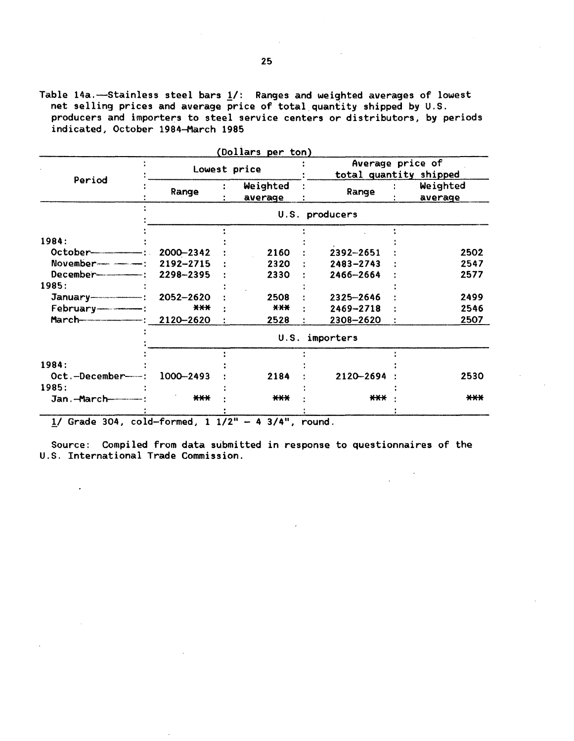Table 14a.-Stainless steel bars 1/: Ranges and weighted averages of lowest net selling prices and average price of total quantity shipped by U.S. producers and importers to steel service centers or distributors, by periods indicated, October 1984-March 1985

| Average price of<br>Lowest price<br>total quantity shipped<br>Period<br>Weighted<br>Weighted<br>Range<br>Range<br>average<br>average<br>U.S. producers<br>1984:<br>2000-2342<br>2160<br>2392-2651<br>2192-2715<br>2320<br>$2483 - 2743$<br>2298-2395<br>2330<br>2466-2664<br>1985:<br>2052-2620<br>2508<br>2325-2646<br>$***$<br>X X X<br>2469-2718<br>2120-2620<br>2528<br>2308-2620<br>U.S.<br>importers<br>1984: |                   |           | (Dollars per ton) |           |      |  |  |
|---------------------------------------------------------------------------------------------------------------------------------------------------------------------------------------------------------------------------------------------------------------------------------------------------------------------------------------------------------------------------------------------------------------------|-------------------|-----------|-------------------|-----------|------|--|--|
|                                                                                                                                                                                                                                                                                                                                                                                                                     |                   |           |                   |           |      |  |  |
|                                                                                                                                                                                                                                                                                                                                                                                                                     |                   |           |                   |           |      |  |  |
|                                                                                                                                                                                                                                                                                                                                                                                                                     |                   |           |                   |           |      |  |  |
|                                                                                                                                                                                                                                                                                                                                                                                                                     |                   |           |                   |           |      |  |  |
|                                                                                                                                                                                                                                                                                                                                                                                                                     |                   |           |                   |           | 2502 |  |  |
|                                                                                                                                                                                                                                                                                                                                                                                                                     |                   |           |                   |           | 2547 |  |  |
|                                                                                                                                                                                                                                                                                                                                                                                                                     |                   |           |                   |           | 2577 |  |  |
|                                                                                                                                                                                                                                                                                                                                                                                                                     |                   |           |                   |           |      |  |  |
|                                                                                                                                                                                                                                                                                                                                                                                                                     |                   |           |                   |           | 2499 |  |  |
|                                                                                                                                                                                                                                                                                                                                                                                                                     |                   |           |                   |           | 2546 |  |  |
|                                                                                                                                                                                                                                                                                                                                                                                                                     |                   |           |                   |           | 2507 |  |  |
|                                                                                                                                                                                                                                                                                                                                                                                                                     |                   |           |                   |           |      |  |  |
|                                                                                                                                                                                                                                                                                                                                                                                                                     |                   |           |                   |           |      |  |  |
|                                                                                                                                                                                                                                                                                                                                                                                                                     |                   |           |                   |           |      |  |  |
|                                                                                                                                                                                                                                                                                                                                                                                                                     | Oct.-December---- | 1000-2493 | 2184              | 2120-2694 | 2530 |  |  |
| 1985:                                                                                                                                                                                                                                                                                                                                                                                                               |                   |           |                   |           |      |  |  |
| $***$<br>$***$<br>$***$<br>Jan.-March------------                                                                                                                                                                                                                                                                                                                                                                   |                   |           |                   |           | ***  |  |  |

 $1/$  Grade 304, cold-formed,  $1 \ 1/2$ <sup>"</sup> - 4 3/4", round.

 $\overline{\phantom{a}}$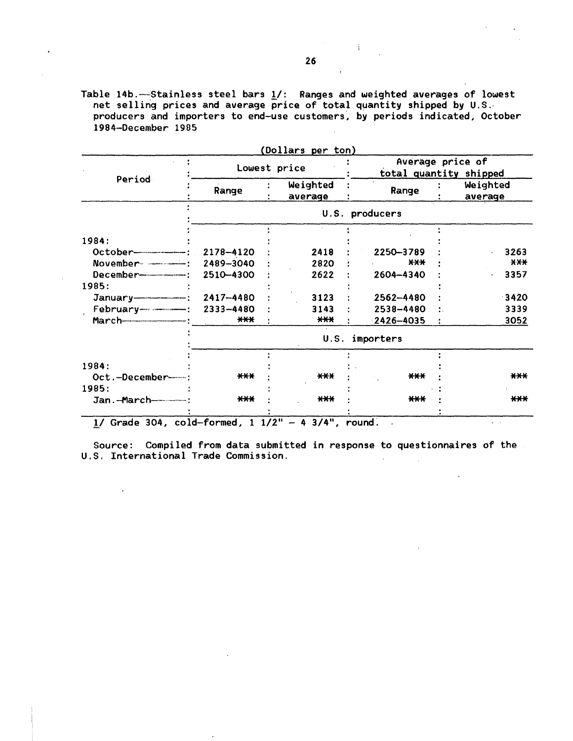Table 14b .---Stainless steel bars  $\underline{1}/$ : Ranges and weighted averages of lowest net selling prices and average price of total quantity shipped by U.S. producers and importers to end-use customers, by periods indicated, October 1984-December 1905

| Average price of<br>Lowest price |           |  |                     |  |                |  |                                               |
|----------------------------------|-----------|--|---------------------|--|----------------|--|-----------------------------------------------|
| Period                           | Range     |  | Weighted<br>average |  | Range          |  | total quantity shipped<br>Weighted<br>average |
|                                  |           |  |                     |  | U.S. producers |  |                                               |
|                                  |           |  |                     |  |                |  |                                               |
| 1984:                            |           |  |                     |  |                |  |                                               |
| $October$ :                      | 2178-4120 |  | 2418                |  | 2250-3789      |  | 3263                                          |
| November - - - -                 | 2489-3040 |  | 2820                |  | $X-X$          |  | X X X                                         |
|                                  | 2510-4300 |  | 2622                |  | 2604-4340      |  | 3357                                          |
| 1985:                            |           |  |                     |  |                |  |                                               |
| $January$ $-- :$                 | 2417-4480 |  | 3123                |  | 2562-4480      |  | 3420                                          |
|                                  | 2333-4480 |  | 3143                |  | 2538-4480      |  | 3339                                          |
|                                  | $***$     |  | $***$               |  | $-2426 - 4035$ |  | 3052                                          |
|                                  |           |  | U.S.                |  | importers      |  |                                               |
|                                  |           |  |                     |  |                |  |                                               |
| 1984:                            |           |  |                     |  |                |  |                                               |
| Oct.-December-                   | $***$     |  | $***$               |  | $***$          |  | ***                                           |
| 1985:                            |           |  |                     |  |                |  |                                               |
| Jan.-March------------           | $***$     |  | $***$               |  | $***$          |  | $***$                                         |

 $(m+1)$  and per ton  $k=n$ 

 $1/$  Grade 304, cold-formed,  $1 \frac{1}{2}$  - 4 3/4", round.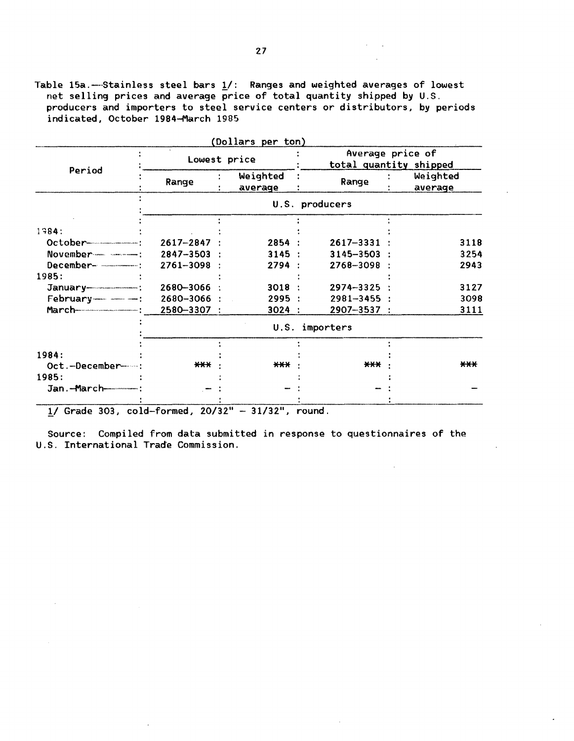Table 15a. ---Stainless steel bars  $\underline{1}/$ : Ranges and weighted averages of lowest net selling prices and average price of total quantity shipped by U.S. producers and importers to steel service centers or distributors, by periods indicated, October 1984-March 1985

|                                                |                 | (Dollars per ton)   |                 |                                            |  |  |  |
|------------------------------------------------|-----------------|---------------------|-----------------|--------------------------------------------|--|--|--|
| Period                                         | Lowest price    |                     |                 | Average price of<br>total quantity shipped |  |  |  |
|                                                | Range           | Weighted<br>average | Range           | Weighted<br>average                        |  |  |  |
|                                                |                 |                     | U.S. producers  |                                            |  |  |  |
| 1984:                                          |                 |                     |                 |                                            |  |  |  |
|                                                | $2617 - 2847$ : | 2854:               | 2617-3331       | 3118                                       |  |  |  |
| $November$ $\cdots$ $\cdots$ $\cdots$ $\cdots$ | $2847 - 3503$ : | 3145:               | $3145 - 3503$ : | 3254                                       |  |  |  |
|                                                | $2761 - 3098$ : | 2794:               | 2768-3098 :     | 2943                                       |  |  |  |
| 1985:                                          |                 |                     |                 |                                            |  |  |  |
|                                                | 2680-3066       | 3018:               | 2974-3325       | 3127                                       |  |  |  |
| February---------------                        | 2680-3066 :     | 2995:               | $2981 - 3455$ : | 3098                                       |  |  |  |
|                                                | 2580-3307 :     | 3024 :              | $2907 - 3537$ : | 3111                                       |  |  |  |
|                                                | U.S. importers  |                     |                 |                                            |  |  |  |
| 1984:                                          |                 |                     |                 |                                            |  |  |  |
| Oct.-December------                            | $***$           | <b>***</b>          | $***$           | ***                                        |  |  |  |
| 1985:                                          |                 |                     |                 |                                            |  |  |  |
| Jan.-March--------------                       |                 |                     |                 |                                            |  |  |  |
|                                                |                 |                     |                 |                                            |  |  |  |

 $1/$  Grade 303, cold-formed,  $20/32" - 31/32"$ , round.

i.

 $\bar{z}$ 

Source: Compiled from data submitted in response to questionnaires of the U.S. International Trade Commission.

 $\alpha_{\rm{max}}$ 

 $\sim 10^{-1}$ 

 $\sim$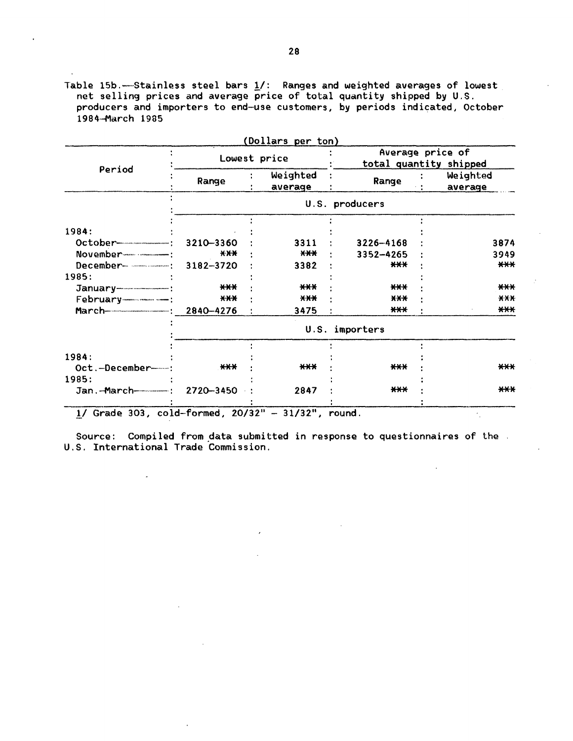Table 15b. ----Stainless steel bars  $1/$ : Ranges and weighted averages of lowest net selling prices and average price of total quantity shipped by U.S. producers and importers to end-use customers, by periods indicated, October 1984·-March 19a5

|                           | Lowest price       |                     |                            | Average price of<br>total quantity shipped |
|---------------------------|--------------------|---------------------|----------------------------|--------------------------------------------|
| Period                    | Range              | Weighted<br>average | Range                      | Weighted<br>average                        |
|                           |                    |                     | U.S. producers             |                                            |
|                           |                    |                     |                            |                                            |
| 1984:                     |                    | 3311                |                            |                                            |
|                           | 3210-3360<br>$***$ | $X+Y$               | $3226 - 4168$<br>3352-4265 | 3874<br>3949                               |
|                           | 3182-3720          | 3382                | $***$                      | ***                                        |
| 1985:                     |                    |                     |                            |                                            |
|                           | $X$ $X$ $X$        | $***$               | $***$                      | $***$                                      |
| February----------------- | $***$              | $***$               | $***$                      | X X X                                      |
|                           | 2840-4276          | 3475                | $***$                      | $***$                                      |
|                           |                    |                     | U.S. importers             |                                            |
| 1984:                     |                    |                     |                            |                                            |
| Oct.-December-            | ***                | $***$               | $***$                      | $***$                                      |
| 1985:                     |                    |                     |                            |                                            |
|                           | 2720-3450          | 2847                | $***$                      | $***$                                      |
|                           |                    |                     |                            |                                            |

J.

Source: Compiled from data submitted in response to questionnaires of the U.S. International Trade Commission.

 $\overline{a}$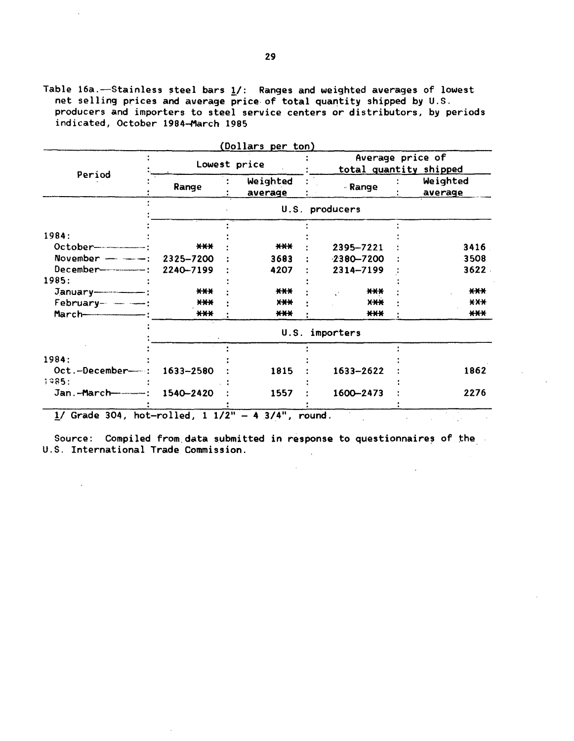Table 16a. --Stainless steel bars  $1/$ : Ranges and weighted averages of lowest net selling prices and average price of total quantity shipped by U.S. producers and importers to steel service centers or distributors, by periods indicated, October 1984-March 1985

|                           | Lowest price |                     | (Dollars per ton)<br>Average price of<br>total quantity shipped |                     |  |
|---------------------------|--------------|---------------------|-----------------------------------------------------------------|---------------------|--|
| Period                    | Range        | Weighted<br>average | - Range                                                         | Weighted<br>average |  |
|                           |              |                     | U.S. producers                                                  |                     |  |
| 1984:                     |              |                     |                                                                 |                     |  |
| $October-----$            | $***$        | $***$               | 2395-7221                                                       | 3416                |  |
| November - - - -          | 2325-7200    | 3683                | $-2380 - 7200$                                                  | 3508                |  |
|                           | 2240-7199    | 4207                | 2314-7199                                                       | 3622                |  |
| 1985:                     |              |                     |                                                                 |                     |  |
|                           | $***$        | ***                 | ***                                                             | $***$               |  |
| $February-----:$          | $***$        | $X+Y$               | $X+X$                                                           | $X-X$               |  |
| $March$ $\longrightarrow$ | $***$        | $***$               | $***$                                                           | $***$               |  |
|                           |              |                     | U.S. importers                                                  |                     |  |
|                           |              |                     |                                                                 |                     |  |
| 1984:                     |              |                     |                                                                 |                     |  |
| Oct.-December-            | 1633-2580    | 1815                | 1633-2622                                                       | 1862                |  |
| 1985:                     |              |                     |                                                                 |                     |  |
| Jan.-March------------    | 1540-2420    | 1557                | 1600-2473                                                       | 2276                |  |

Source: Compiled from data submitted in response to questionnaires of the U.S. International Trade Commission.  $\sim$ 

 $\mathcal{L}^{\pm}$ 

 $\sim 10^{-1}$ 

 $\sim 100$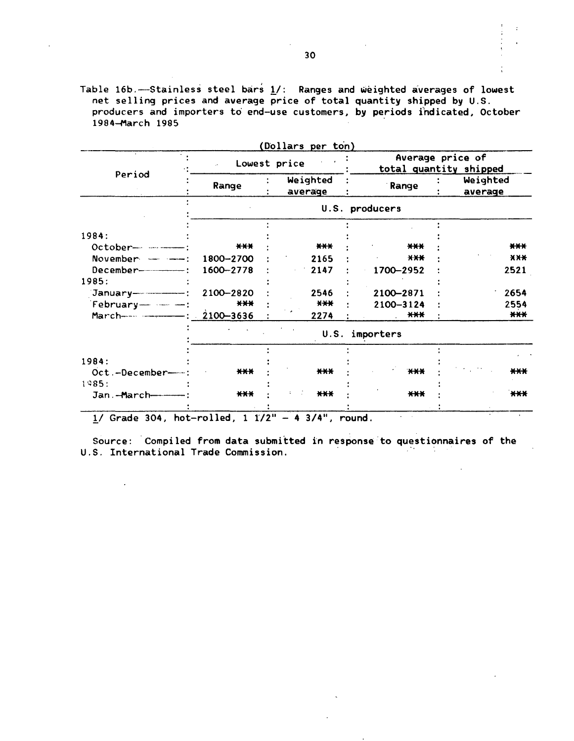Table 16b.-Stainless steel bars 1/: Ranges and weighted averages of lowest net selling prices and average price of total quantity shipped by U.S. producers and importers to end-use customers, by periods indicated, October 1984-March 1985

|                            |                          | Dollars per ton)    |                |                                            |  |  |
|----------------------------|--------------------------|---------------------|----------------|--------------------------------------------|--|--|
|                            | ik.                      | Lowest price        |                | Average price of<br>total quantity shipped |  |  |
| Period                     | Range                    | Weighted<br>average | Range          | Weighted<br>average                        |  |  |
|                            |                          |                     | U.S. producers |                                            |  |  |
|                            |                          |                     |                |                                            |  |  |
| 1984:                      |                          |                     |                |                                            |  |  |
| October- --------          | $***$                    | ***                 | $***$          | $***$                                      |  |  |
| November ----              | 1800-2700                | 2165                | X X X          | X X X                                      |  |  |
| $December$ --------------  | 1600-2778                | 2147                | 1700-2952      | 2521                                       |  |  |
| 1985:                      |                          |                     |                |                                            |  |  |
| January------------------  | 2100-2820                | 2546                | 2100-2871      | 2654                                       |  |  |
| February- - -              | $***$                    | $***$               | 2100-3124      | 2554                                       |  |  |
|                            | 2100-3636                | 2274                | $***$          | $***$                                      |  |  |
|                            |                          | U.S.                | importers      |                                            |  |  |
|                            |                          |                     |                |                                            |  |  |
| 1984:                      | $***$                    | $***$               | H              | ***                                        |  |  |
| Oct.-December-             |                          |                     |                |                                            |  |  |
| 1985:                      |                          |                     |                |                                            |  |  |
| Jan - March-               | $***$                    | $***$               | $***$          | $***$                                      |  |  |
| $1.7.7$ $1.7.7$<br>$L = L$ | $\sim 13$ and $\sim 100$ | 5.711<br>$\bullet$  |                |                                            |  |  |

 $1/$  Grade 304, hot-rolled, 1  $1/2" - 4 3/4"$ , round.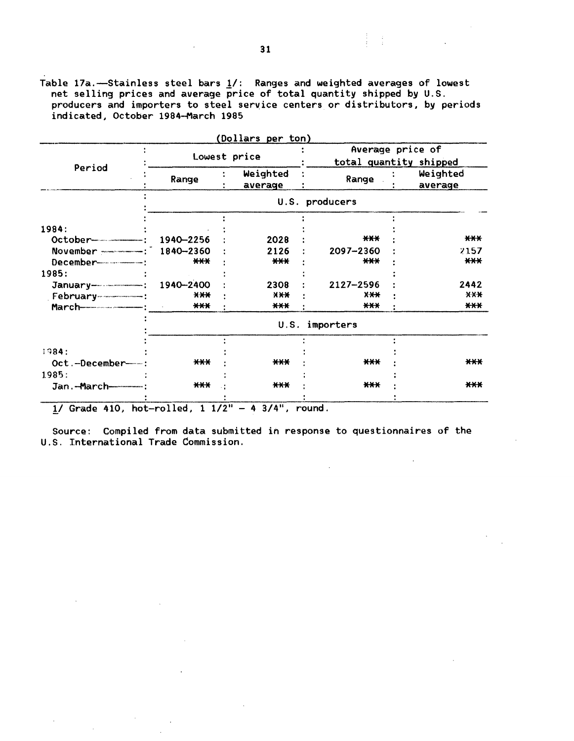Table 17a.-Stainless steel bars  $1/$ : Ranges and weighted averages of lowest net selling prices and average price of total quantity shipped by U.S. producers and importers to steel service centers or distributors, by periods indicated, October 1984-March 1985

|                                         |                | (Dollars per ton)   |            |                                            |  |                     |  |
|-----------------------------------------|----------------|---------------------|------------|--------------------------------------------|--|---------------------|--|
|                                         |                | Lowest price        |            | Average price of<br>total quantity shipped |  |                     |  |
| Period                                  | Range          | Weighted<br>average |            | Range                                      |  | Weighted<br>average |  |
|                                         | U.S. producers |                     |            |                                            |  |                     |  |
| 1984:                                   |                |                     |            |                                            |  |                     |  |
|                                         | 1940-2256      |                     | 2028       | $***$                                      |  | $***$               |  |
| November <b>From Street Street</b> :    | 1840-2360      |                     | 2126       | 2097-2360                                  |  | 2157                |  |
|                                         | $***$          |                     | $***$      | $***$                                      |  | $***$               |  |
| 1985:                                   |                |                     |            |                                            |  |                     |  |
| January--------------------: 1940--2400 |                |                     | 2308       | 2127-2596                                  |  | 2442                |  |
|                                         | X X X          |                     | <b>XXX</b> | $X-X$                                      |  | $X$ $X$ $X$         |  |
|                                         | $***$          |                     | $***$      | $***$                                      |  | $***$               |  |
|                                         |                |                     | U.S.       | importers                                  |  |                     |  |
|                                         |                |                     |            |                                            |  |                     |  |
| 1984:                                   |                |                     |            |                                            |  |                     |  |
| Oct.-December-                          | ***            |                     | ***        | $***$                                      |  | ***                 |  |
| 1985:                                   |                |                     |            |                                            |  |                     |  |
| Jan.-March-----------                   | $***$          |                     | $***$      | $***$                                      |  | $***$               |  |
|                                         | $\sim$ $\sim$  | - 11                | .          |                                            |  |                     |  |

 $1/$  Grade 410, hot-rolled,  $1 \ 1/2$ <sup>11</sup> - 4 3/4<sup>1</sup>, round.

Source: Compiled from data submitted in response to questionnaires of the U.S. International Trade Commission.

 $\frac{1}{2}$  and  $\frac{1}{2}$  are  $\frac{1}{2}$  and  $\frac{1}{2}$  and  $\frac{1}{2}$  and  $\frac{1}{2}$  and  $\frac{1}{2}$  and  $\frac{1}{2}$  and  $\frac{1}{2}$  and  $\frac{1}{2}$  and  $\frac{1}{2}$  and  $\frac{1}{2}$  and  $\frac{1}{2}$  and  $\frac{1}{2}$  and  $\frac{1}{2}$  and  $\frac{1}{2}$  a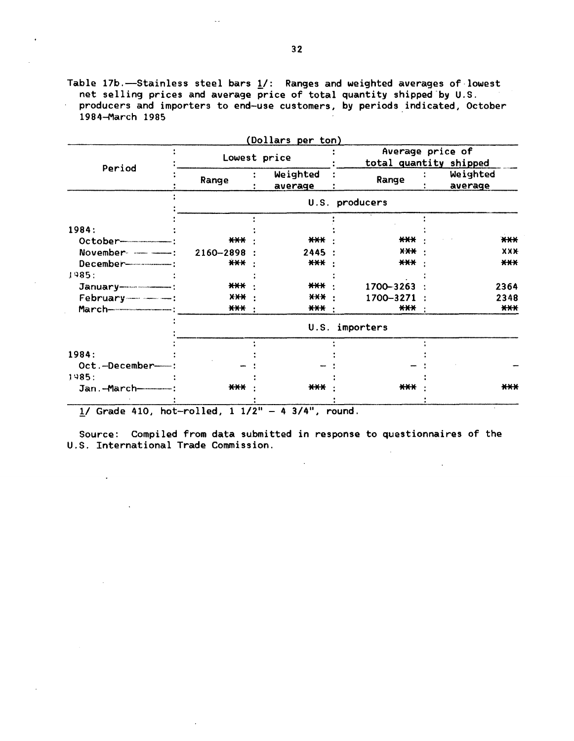Table 17b.-Stainless steel bars 1/: Ranges and weighted averages of lowest net selling prices and average price of total quantity shipped-by U.S. producers and importers to end-use customers, by periods\_indicated, October 1984-March 1985

|                                   |                   | (Dollars per ton)   |                |                                            |  |  |
|-----------------------------------|-------------------|---------------------|----------------|--------------------------------------------|--|--|
| Period                            | Lowest price      |                     |                | Average price of<br>total quantity shipped |  |  |
|                                   | Range             | Weighted<br>average | Range          | Weighted<br>average                        |  |  |
|                                   |                   |                     | U.S. producers |                                            |  |  |
| 1984:                             |                   |                     |                |                                            |  |  |
|                                   | $***$             | $***$               | ***            | $***$                                      |  |  |
| November -------------            | 2160-2898 :       | 2445                | <b>XXX</b>     | <b>XXX</b>                                 |  |  |
| December------------------------- | $***$             | $***$               | $***$          | ***                                        |  |  |
| 1985:                             |                   |                     |                |                                            |  |  |
|                                   | ***               | $***$               | 1700-3263      | 2364                                       |  |  |
| February--------------            | X X X             | $X$ $X$ $X$         | 1700-3271      | 2348                                       |  |  |
|                                   | $\star\star\star$ | $***$               | $***$          | ***                                        |  |  |
|                                   |                   |                     | U.S. importers |                                            |  |  |
|                                   |                   |                     |                |                                            |  |  |
| 1984:                             |                   |                     |                |                                            |  |  |
| Oct.-December-                    |                   |                     |                |                                            |  |  |
| 1985:                             |                   |                     |                |                                            |  |  |
|                                   | $***$             | ***                 | $***$          | $***$                                      |  |  |
|                                   |                   |                     |                |                                            |  |  |

 $1/$  Grade 410, hot-rolled,  $1 1/2" - 4 3/4",$  round.

Source: Compiled from data submitted in response to questionnaires of the U.S. International Trade Commission.

 $\ddot{\phantom{a}}$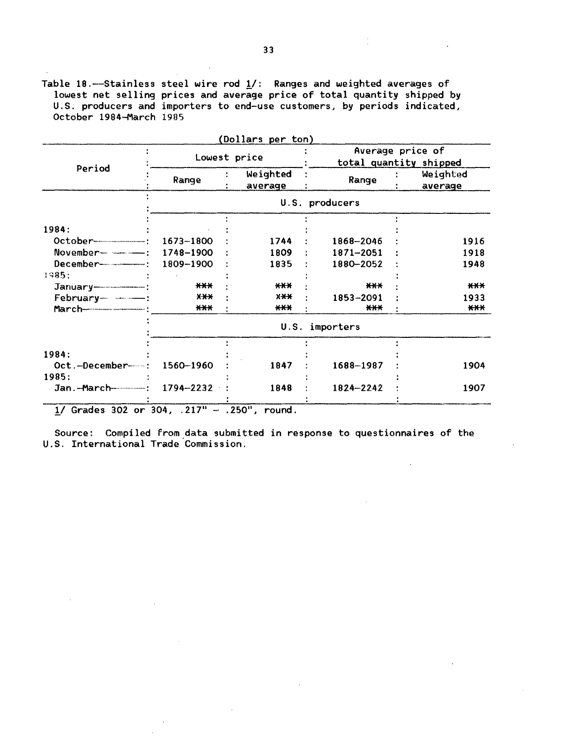Table 18.——Stainless steel wire rod  $\underline{1}/$ : Ranges and weighted averages of lowest net selling prices and average price of total quantity shipped by U.S. producers and importers to end-use customers, by periods indicated, October 1984-March 1985

|                                                                                                                                                                                                                                                                                                                               | Lowest price      |                     | Average price of<br>total quantity shipped |                     |  |  |
|-------------------------------------------------------------------------------------------------------------------------------------------------------------------------------------------------------------------------------------------------------------------------------------------------------------------------------|-------------------|---------------------|--------------------------------------------|---------------------|--|--|
| Period                                                                                                                                                                                                                                                                                                                        | Range             | Weighted<br>average | Range                                      | Weighted<br>average |  |  |
|                                                                                                                                                                                                                                                                                                                               |                   |                     | U.S. producers                             |                     |  |  |
|                                                                                                                                                                                                                                                                                                                               |                   |                     |                                            |                     |  |  |
| 1984:                                                                                                                                                                                                                                                                                                                         |                   |                     |                                            |                     |  |  |
|                                                                                                                                                                                                                                                                                                                               | 1673-1800         | 1744                | 1868-2046                                  | 1916                |  |  |
| $November$ $\frac{1}{2}$ $\frac{1}{2}$ $\frac{1}{2}$ $\frac{1}{2}$ $\frac{1}{2}$ $\frac{1}{2}$ $\frac{1}{2}$ $\frac{1}{2}$ $\frac{1}{2}$ $\frac{1}{2}$ $\frac{1}{2}$ $\frac{1}{2}$ $\frac{1}{2}$ $\frac{1}{2}$ $\frac{1}{2}$ $\frac{1}{2}$ $\frac{1}{2}$ $\frac{1}{2}$ $\frac{1}{2}$ $\frac{1}{2}$ $\frac{1}{2}$ $\frac{1}{2$ | 1748-1900         | 1809                | 1871-2051                                  | 1918                |  |  |
|                                                                                                                                                                                                                                                                                                                               | 1809-1900         | 1835                | 1880-2052                                  | 1948                |  |  |
| 1985:                                                                                                                                                                                                                                                                                                                         |                   |                     |                                            |                     |  |  |
| $January$ $\qquad \qquad$ :                                                                                                                                                                                                                                                                                                   | ***               | $***$               | $***$                                      | $***$               |  |  |
| February-------------                                                                                                                                                                                                                                                                                                         | $X+$              | $X+X$               | 1853-2091                                  | 1933                |  |  |
|                                                                                                                                                                                                                                                                                                                               | $***$             | $***$               | ***                                        | $***$               |  |  |
|                                                                                                                                                                                                                                                                                                                               | importers<br>U.S. |                     |                                            |                     |  |  |
|                                                                                                                                                                                                                                                                                                                               |                   |                     |                                            |                     |  |  |
| 1984:                                                                                                                                                                                                                                                                                                                         |                   |                     |                                            |                     |  |  |
| Oct.-December-                                                                                                                                                                                                                                                                                                                | 1560-1960         | 1847                | 1688-1987                                  | 1904                |  |  |
| 1985:                                                                                                                                                                                                                                                                                                                         |                   |                     |                                            |                     |  |  |
| Jan.-March-------------------                                                                                                                                                                                                                                                                                                 | 1794-2232         | 1848                | 1824-2242                                  | 1907                |  |  |

 $1/$  Grades 302 or 304, .217" - .250", round.

Source: Compiled from data submitted in response to questionnaires of the U.S. International Trade Commission.

 $\mathbb{R}^2$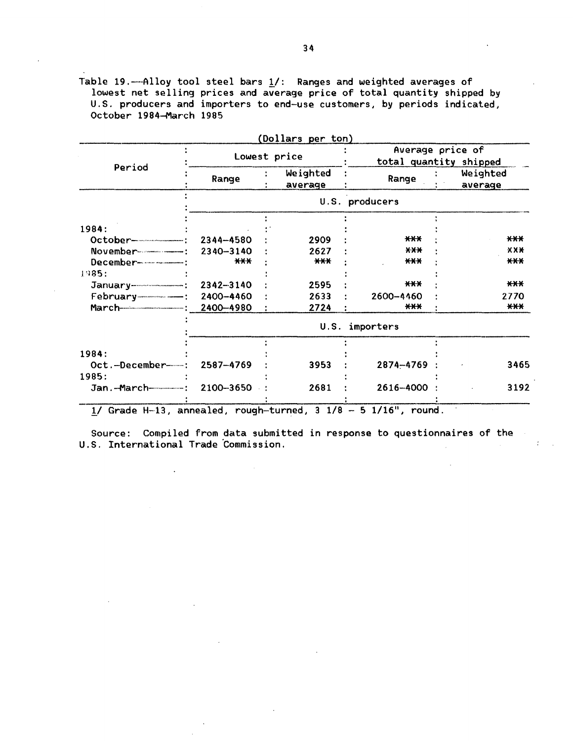Table 19.---Alloy tool steel bars  $1/$ : Ranges and weighted averages of lowest net selling prices and average price of total quantity shipped by U.S. producers and importers to end-use customers, by periods indicated, October 1984-March 1985

|                             |                   |  | (Dollars per ton)   |                                            |                     |  |
|-----------------------------|-------------------|--|---------------------|--------------------------------------------|---------------------|--|
|                             |                   |  | Lowest price        | Average price of<br>total quantity shipped |                     |  |
| Period                      | Range             |  | Weighted<br>average | Range                                      | Weighted<br>average |  |
|                             |                   |  |                     | U.S. producers                             |                     |  |
| 1984:                       |                   |  |                     |                                            |                     |  |
| $October$ $-$               | 2344-4580         |  | 2909                | $***$                                      | $***$               |  |
|                             | 2340-3140         |  | 2627                | <b>XXX</b>                                 | X X X               |  |
|                             | $***$             |  | $***$               | $***$                                      | $***$               |  |
| 1985:                       |                   |  |                     |                                            |                     |  |
|                             | 2342-3140         |  | 2595                | $***$                                      | $***$               |  |
|                             | 2400-4460         |  | 2633                | 2600-4460                                  | 2770                |  |
|                             | 2400-4980         |  | 2724                | ***                                        | $***$               |  |
|                             | U.S.<br>importers |  |                     |                                            |                     |  |
|                             |                   |  |                     |                                            |                     |  |
| 1984:                       |                   |  |                     |                                            |                     |  |
| Oct.-December------         | 2587-4769         |  | 3953                | 2874-4769                                  | 3465                |  |
| 1985:                       |                   |  |                     |                                            |                     |  |
| Jan.--March---------------: | 2100-3650         |  | 2681                | 2616-4000                                  | 3192                |  |

 $1/$  Grade H-13, annealed, rough-turned, 3  $1/8$  - 5  $1/16$ ", round.

Source: Compiled from data submitted in response to questionnaires of the U.S. International Trade Commission.  $\mathbb{Z}$ 

 $\mathcal{L}$ 

 $\lambda$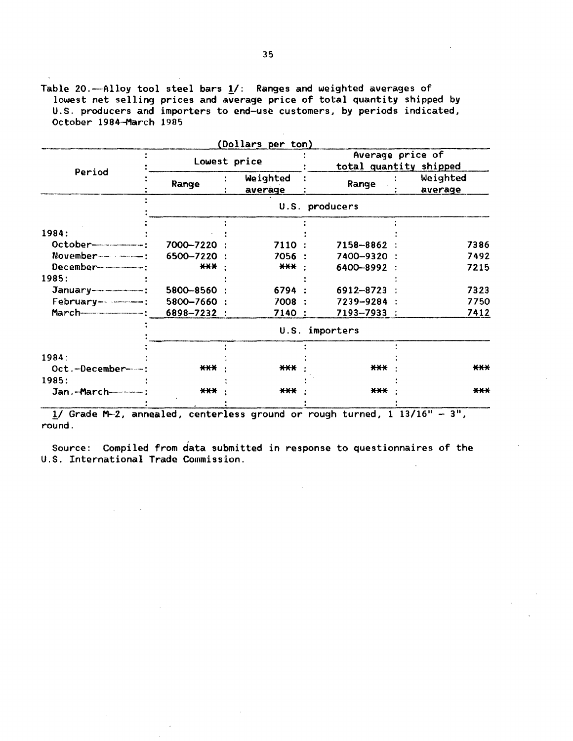Table 20.---Alloy tool steel bars  $\underline{1}/$ : Ranges and weighted averages of lowest net selling prices and average price of total quantity shipped by U.S. producers and importers to end-use customers, by periods indicated, October 1984-March 1985

|                |                        |              | Average price of<br>total quantity shipped                                                                            |  |  |  |
|----------------|------------------------|--------------|-----------------------------------------------------------------------------------------------------------------------|--|--|--|
| Range          | Weighted<br>averäge    | Range        | Weighted<br>average                                                                                                   |  |  |  |
| U.S. producers |                        |              |                                                                                                                       |  |  |  |
|                |                        |              |                                                                                                                       |  |  |  |
|                |                        |              | 7386                                                                                                                  |  |  |  |
|                |                        |              | 7492                                                                                                                  |  |  |  |
| $***$          | $***$                  |              | 7215                                                                                                                  |  |  |  |
|                |                        |              |                                                                                                                       |  |  |  |
| 5800-8560      |                        | 6912-8723    | 7323                                                                                                                  |  |  |  |
| 5800-7660 :    | 7008                   | 7239-9284    | 7750                                                                                                                  |  |  |  |
| 6898-7232 :    | 7140                   |              | 7412                                                                                                                  |  |  |  |
| U.S. importers |                        |              |                                                                                                                       |  |  |  |
|                |                        |              |                                                                                                                       |  |  |  |
| $***$          | $***$                  | $***$        | $***$                                                                                                                 |  |  |  |
|                |                        |              |                                                                                                                       |  |  |  |
| $***$          | $***$                  | $***$        | $***$                                                                                                                 |  |  |  |
|                | 7000-7220<br>6500-7220 | Lowest price | (Dollars per ton)<br>7110:<br>7158-8862<br>7056 :<br>7400-9320<br>6400-8992<br>$\blacksquare$<br>6794 :<br>7193-7933: |  |  |  |

 $1/$  Grade M-2, annealed, centerless ground or rough turned,  $1\ 13/16" - 3",$ round.

Source: Compiled from data submitted in response to questionnaires of the U.S. International Trade Commission.

 $\mathcal{L}_{\text{max}}$  and  $\mathcal{L}_{\text{max}}$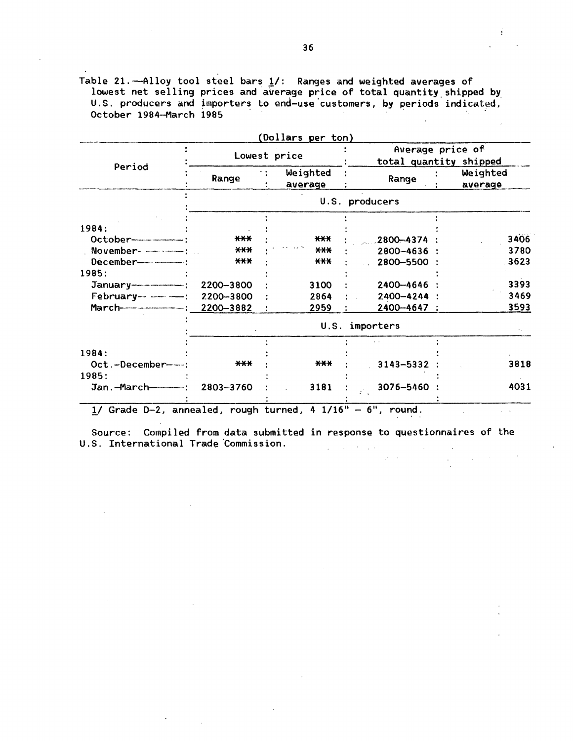Table 21.——Alloy tool steel bars 1/: Ranges and weighted averages of lowest net selling prices and average price of total quantity shipped by. U.S. producers and importers to end-use customers, by periods indicated, October 1984-March 1985

|                          |                   | Lowest price        |                | Average price of<br>total quantity shipped |      |  |
|--------------------------|-------------------|---------------------|----------------|--------------------------------------------|------|--|
| Period                   | Range             | Weighted<br>average | Range          | Weighted<br>average                        |      |  |
|                          |                   |                     | U.S. producers |                                            |      |  |
|                          |                   |                     |                |                                            |      |  |
| 1984:                    |                   |                     |                |                                            |      |  |
| $October$ $-$            | $***$             | $***$               | 2800-4374      |                                            | 3406 |  |
|                          | $AA+$             | $***$               | 2800-4636      |                                            | 3780 |  |
|                          | $***$             | $***$               | 2800-5500      |                                            | 3623 |  |
| 1985:                    |                   |                     |                |                                            |      |  |
|                          | 2200-3800         | 3100                | 2400-4646      |                                            | 3393 |  |
| February---------------- | 2200-3800         | 2864                | 2400-4244 :    |                                            | 3469 |  |
|                          | 2200-3882         | 2959                | 2400-4647      |                                            | 3593 |  |
|                          | U.S.<br>importers |                     |                |                                            |      |  |
|                          |                   |                     |                |                                            |      |  |
| 1984:                    |                   |                     |                |                                            |      |  |
| Oct.-December-           | $***$             | $***$               | 3143-5332      |                                            | 3818 |  |
| 1985:                    |                   |                     |                |                                            |      |  |
| Jan.-March-------------  | 2803-3760         | 3181                | 3076-5460      |                                            | 4031 |  |

 $1/$  Grade D-2, annealed, rough turned, 4  $1/16" - 6"$ , round.

Source: Compiled from data submitted in response to questionnaires of the U.S. International Trade Commission.

 $\mathcal{L}_{\mathcal{A}}$ 

# $\sim 100$  km s  $^{-1}$

 $\mathcal{L}$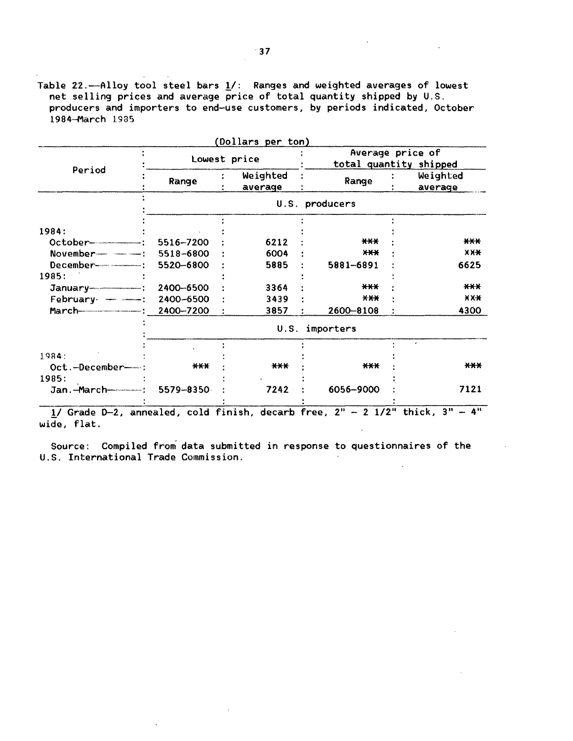Table 22.---Alloy tool steel bars  $1/$ : Ranges and weighted averages of lowest net selling prices and average price of total quantity shipped by U.S. producers and importers to end-use customers, by periods indicated, October 1984-March l 985

|                                           |                   | (Dollars per ton)   |                |                                            |  |  |
|-------------------------------------------|-------------------|---------------------|----------------|--------------------------------------------|--|--|
|                                           | Lowest price      |                     |                | Average price of<br>total quantity shipped |  |  |
| Period                                    | Range             | Weighted<br>average | Range          | Weighted<br>average                        |  |  |
|                                           |                   |                     | U.S. producers |                                            |  |  |
| 1984:                                     |                   |                     |                |                                            |  |  |
|                                           | 5516-7200         | 6212                | $***$          | $***$                                      |  |  |
|                                           | 5518-6800         | 6004                | $x + x + y$    | $X X +$                                    |  |  |
|                                           | 5520-6800         | 5885                | 5881-6891      | 6625                                       |  |  |
| 1985:                                     |                   |                     |                |                                            |  |  |
|                                           | 2400-6500         | 3364                | $***$          | ***                                        |  |  |
| February - - - - -                        | 2400-6500         | 3439                | $X-X$          | X X X                                      |  |  |
| March-------------------------: 2400-7200 |                   | 3857                | 2600-8108      | 4300                                       |  |  |
|                                           | U.S.<br>importers |                     |                |                                            |  |  |
| 1984:                                     |                   |                     |                |                                            |  |  |
| Oct.-December-                            | $***$             | ***                 | $***$          | ***                                        |  |  |
| 1985:                                     |                   |                     |                |                                            |  |  |
|                                           | 5579-8350         | 7242                | 6056-9000      | 7121                                       |  |  |
|                                           |                   |                     |                |                                            |  |  |

 $1/$  Grade D-2, annealed, cold finish, decarb free,  $2'' - 2$   $1/2''$  thick,  $3'' - 4''$ wide, flat.

Source: Compiled from data submitted in response to questionnaires of the U.S. International Trade Commission.  $\sim$  $\mathbb{R}^2$ 

 $\mathbb{R}^2$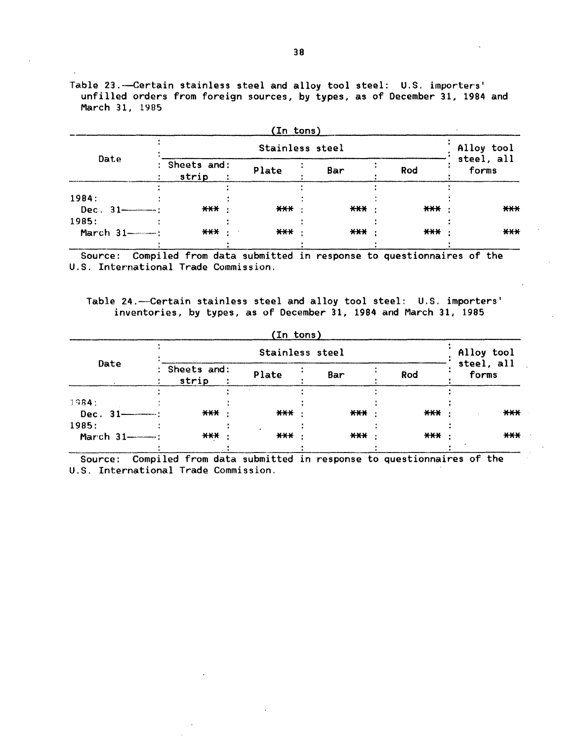Table 23. --Certain stainless steel and alloy tool steel: U.S. importers' unfilled orders from foreign sources, by types, as of December 31, 1984 and March 31, 1985

|                                 |                                                                   | (In tons) |                 |       |                     |
|---------------------------------|-------------------------------------------------------------------|-----------|-----------------|-------|---------------------|
|                                 |                                                                   |           | Stainless steel |       | Alloy tool          |
| Date                            | : Sheets and:<br>strip                                            | Plate     | Bar             | Rod   | steel, all<br>forms |
| 1984:<br>$Dec. 31$ — $:$        | *** ·                                                             | ***       | *** ·           | *** · | $***$               |
| 1985:<br>March $31$ ----------- | *** ·                                                             | *** ·     | *** ·           | *** · | $***$               |
| Source:                         | Compiled from data submitted in response to questionnaires of the |           |                 |       |                     |

U.S. International Trade Commission.

Table 24.-Certain stainless steel and alloy tool steel: U.S. importers' inventories, by types, as of December 31, 1984 and March 31, 1985

|                         |                        | (In tons) |       |       |                     |
|-------------------------|------------------------|-----------|-------|-------|---------------------|
|                         | Alloy tool             |           |       |       |                     |
| Date                    | : Sheets and:<br>strip | Plate     | Bar   | Rod   | steel, all<br>forms |
| 1984:<br>Dec. 31-4-1000 | $***$                  | $***$     | $***$ | $***$ | $***$               |
| 1985:<br>March 31-400:  | $***$                  | $***$     | $***$ | $***$ | $***$               |